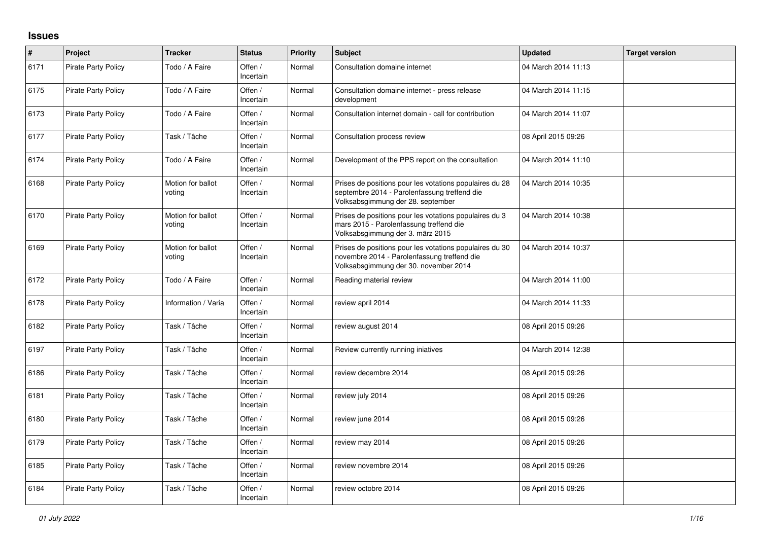## **Issues**

| #    | Project                    | <b>Tracker</b>              | <b>Status</b>        | <b>Priority</b> | <b>Subject</b>                                                                                                                                  | <b>Updated</b>      | <b>Target version</b> |
|------|----------------------------|-----------------------------|----------------------|-----------------|-------------------------------------------------------------------------------------------------------------------------------------------------|---------------------|-----------------------|
| 6171 | Pirate Party Policy        | Todo / A Faire              | Offen /<br>Incertain | Normal          | Consultation domaine internet                                                                                                                   | 04 March 2014 11:13 |                       |
| 6175 | <b>Pirate Party Policy</b> | Todo / A Faire              | Offen /<br>Incertain | Normal          | Consultation domaine internet - press release<br>development                                                                                    | 04 March 2014 11:15 |                       |
| 6173 | Pirate Party Policy        | Todo / A Faire              | Offen /<br>Incertain | Normal          | Consultation internet domain - call for contribution                                                                                            | 04 March 2014 11:07 |                       |
| 6177 | Pirate Party Policy        | Task / Tâche                | Offen /<br>Incertain | Normal          | Consultation process review                                                                                                                     | 08 April 2015 09:26 |                       |
| 6174 | <b>Pirate Party Policy</b> | Todo / A Faire              | Offen /<br>Incertain | Normal          | Development of the PPS report on the consultation                                                                                               | 04 March 2014 11:10 |                       |
| 6168 | <b>Pirate Party Policy</b> | Motion for ballot<br>voting | Offen /<br>Incertain | Normal          | Prises de positions pour les votations populaires du 28<br>septembre 2014 - Parolenfassung treffend die<br>Volksabsgimmung der 28. september    | 04 March 2014 10:35 |                       |
| 6170 | <b>Pirate Party Policy</b> | Motion for ballot<br>voting | Offen /<br>Incertain | Normal          | Prises de positions pour les votations populaires du 3<br>mars 2015 - Parolenfassung treffend die<br>Volksabsgimmung der 3. märz 2015           | 04 March 2014 10:38 |                       |
| 6169 | <b>Pirate Party Policy</b> | Motion for ballot<br>voting | Offen /<br>Incertain | Normal          | Prises de positions pour les votations populaires du 30<br>novembre 2014 - Parolenfassung treffend die<br>Volksabsgimmung der 30. november 2014 | 04 March 2014 10:37 |                       |
| 6172 | <b>Pirate Party Policy</b> | Todo / A Faire              | Offen /<br>Incertain | Normal          | Reading material review                                                                                                                         | 04 March 2014 11:00 |                       |
| 6178 | <b>Pirate Party Policy</b> | Information / Varia         | Offen /<br>Incertain | Normal          | review april 2014                                                                                                                               | 04 March 2014 11:33 |                       |
| 6182 | <b>Pirate Party Policy</b> | Task / Tâche                | Offen /<br>Incertain | Normal          | review august 2014                                                                                                                              | 08 April 2015 09:26 |                       |
| 6197 | <b>Pirate Party Policy</b> | Task / Tâche                | Offen /<br>Incertain | Normal          | Review currently running iniatives                                                                                                              | 04 March 2014 12:38 |                       |
| 6186 | <b>Pirate Party Policy</b> | Task / Tâche                | Offen /<br>Incertain | Normal          | review decembre 2014                                                                                                                            | 08 April 2015 09:26 |                       |
| 6181 | <b>Pirate Party Policy</b> | Task / Tâche                | Offen /<br>Incertain | Normal          | review july 2014                                                                                                                                | 08 April 2015 09:26 |                       |
| 6180 | <b>Pirate Party Policy</b> | Task / Tâche                | Offen /<br>Incertain | Normal          | review june 2014                                                                                                                                | 08 April 2015 09:26 |                       |
| 6179 | <b>Pirate Party Policy</b> | Task / Tâche                | Offen /<br>Incertain | Normal          | review may 2014                                                                                                                                 | 08 April 2015 09:26 |                       |
| 6185 | <b>Pirate Party Policy</b> | Task / Tâche                | Offen /<br>Incertain | Normal          | review novembre 2014                                                                                                                            | 08 April 2015 09:26 |                       |
| 6184 | <b>Pirate Party Policy</b> | Task / Tâche                | Offen /<br>Incertain | Normal          | review octobre 2014                                                                                                                             | 08 April 2015 09:26 |                       |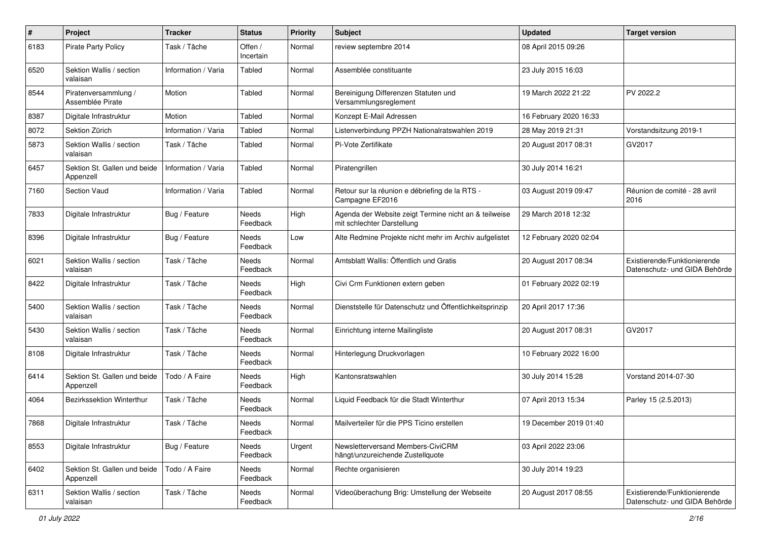| #    | Project                                   | <b>Tracker</b>      | <b>Status</b>            | <b>Priority</b> | <b>Subject</b>                                                                      | <b>Updated</b>         | <b>Target version</b>                                         |
|------|-------------------------------------------|---------------------|--------------------------|-----------------|-------------------------------------------------------------------------------------|------------------------|---------------------------------------------------------------|
| 6183 | Pirate Party Policy                       | Task / Tâche        | Offen /<br>Incertain     | Normal          | review septembre 2014                                                               | 08 April 2015 09:26    |                                                               |
| 6520 | Sektion Wallis / section<br>valaisan      | Information / Varia | Tabled                   | Normal          | Assemblée constituante                                                              | 23 July 2015 16:03     |                                                               |
| 8544 | Piratenversammlung /<br>Assemblée Pirate  | Motion              | Tabled                   | Normal          | Bereinigung Differenzen Statuten und<br>Versammlungsreglement                       | 19 March 2022 21:22    | PV 2022.2                                                     |
| 8387 | Digitale Infrastruktur                    | Motion              | Tabled                   | Normal          | Konzept E-Mail Adressen                                                             | 16 February 2020 16:33 |                                                               |
| 8072 | Sektion Zürich                            | Information / Varia | Tabled                   | Normal          | Listenverbindung PPZH Nationalratswahlen 2019                                       | 28 May 2019 21:31      | Vorstandsitzung 2019-1                                        |
| 5873 | Sektion Wallis / section<br>valaisan      | Task / Tâche        | Tabled                   | Normal          | Pi-Vote Zertifikate                                                                 | 20 August 2017 08:31   | GV2017                                                        |
| 6457 | Sektion St. Gallen und beide<br>Appenzell | Information / Varia | Tabled                   | Normal          | Piratengrillen                                                                      | 30 July 2014 16:21     |                                                               |
| 7160 | Section Vaud                              | Information / Varia | Tabled                   | Normal          | Retour sur la réunion e débriefing de la RTS -<br>Campagne EF2016                   | 03 August 2019 09:47   | Réunion de comité - 28 avril<br>2016                          |
| 7833 | Digitale Infrastruktur                    | Bug / Feature       | Needs<br>Feedback        | High            | Agenda der Website zeigt Termine nicht an & teilweise<br>mit schlechter Darstellung | 29 March 2018 12:32    |                                                               |
| 8396 | Digitale Infrastruktur                    | Bug / Feature       | Needs<br>Feedback        | Low             | Alte Redmine Projekte nicht mehr im Archiv aufgelistet                              | 12 February 2020 02:04 |                                                               |
| 6021 | Sektion Wallis / section<br>valaisan      | Task / Tâche        | Needs<br>Feedback        | Normal          | Amtsblatt Wallis: Öffentlich und Gratis                                             | 20 August 2017 08:34   | Existierende/Funktionierende<br>Datenschutz- und GIDA Behörde |
| 8422 | Digitale Infrastruktur                    | Task / Tâche        | <b>Needs</b><br>Feedback | High            | Civi Crm Funktionen extern geben                                                    | 01 February 2022 02:19 |                                                               |
| 5400 | Sektion Wallis / section<br>valaisan      | Task / Tâche        | Needs<br>Feedback        | Normal          | Dienststelle für Datenschutz und Öffentlichkeitsprinzip                             | 20 April 2017 17:36    |                                                               |
| 5430 | Sektion Wallis / section<br>valaisan      | Task / Tâche        | Needs<br>Feedback        | Normal          | Einrichtung interne Mailingliste                                                    | 20 August 2017 08:31   | GV2017                                                        |
| 8108 | Digitale Infrastruktur                    | Task / Tâche        | Needs<br>Feedback        | Normal          | Hinterlegung Druckvorlagen                                                          | 10 February 2022 16:00 |                                                               |
| 6414 | Sektion St. Gallen und beide<br>Appenzell | Todo / A Faire      | Needs<br>Feedback        | High            | Kantonsratswahlen                                                                   | 30 July 2014 15:28     | Vorstand 2014-07-30                                           |
| 4064 | Bezirkssektion Winterthur                 | Task / Tâche        | Needs<br>Feedback        | Normal          | Liquid Feedback für die Stadt Winterthur                                            | 07 April 2013 15:34    | Parley 15 (2.5.2013)                                          |
| 7868 | Digitale Infrastruktur                    | Task / Tâche        | Needs<br>Feedback        | Normal          | Mailverteiler für die PPS Ticino erstellen                                          | 19 December 2019 01:40 |                                                               |
| 8553 | Digitale Infrastruktur                    | Bug / Feature       | Needs<br>Feedback        | Urgent          | Newsletterversand Members-CiviCRM<br>hängt/unzureichende Zustellquote               | 03 April 2022 23:06    |                                                               |
| 6402 | Sektion St. Gallen und beide<br>Appenzell | Todo / A Faire      | Needs<br>Feedback        | Normal          | Rechte organisieren                                                                 | 30 July 2014 19:23     |                                                               |
| 6311 | Sektion Wallis / section<br>valaisan      | Task / Tâche        | Needs<br>Feedback        | Normal          | Videoüberachung Brig: Umstellung der Webseite                                       | 20 August 2017 08:55   | Existierende/Funktionierende<br>Datenschutz- und GIDA Behörde |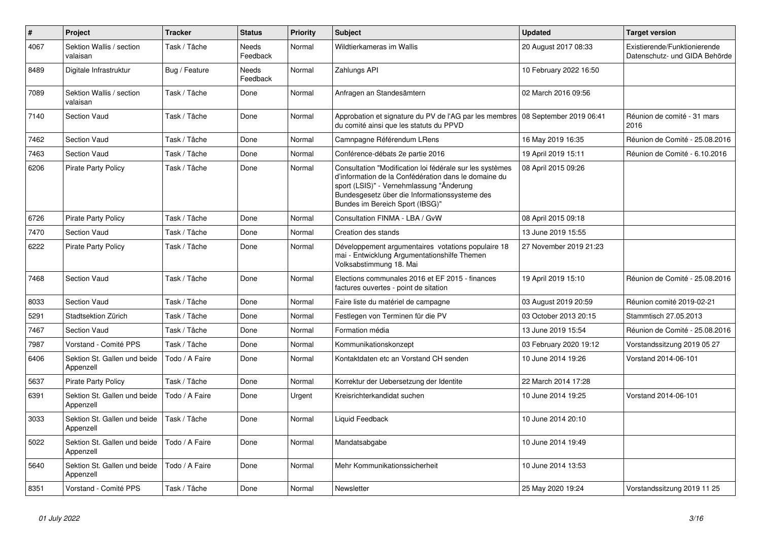| $\pmb{\#}$ | Project                                   | <b>Tracker</b> | <b>Status</b>     | <b>Priority</b> | <b>Subject</b>                                                                                                                                                                                                                                   | <b>Updated</b>         | <b>Target version</b>                                         |
|------------|-------------------------------------------|----------------|-------------------|-----------------|--------------------------------------------------------------------------------------------------------------------------------------------------------------------------------------------------------------------------------------------------|------------------------|---------------------------------------------------------------|
| 4067       | Sektion Wallis / section<br>valaisan      | Task / Tâche   | Needs<br>Feedback | Normal          | Wildtierkameras im Wallis                                                                                                                                                                                                                        | 20 August 2017 08:33   | Existierende/Funktionierende<br>Datenschutz- und GIDA Behörde |
| 8489       | Digitale Infrastruktur                    | Bug / Feature  | Needs<br>Feedback | Normal          | Zahlungs API                                                                                                                                                                                                                                     | 10 February 2022 16:50 |                                                               |
| 7089       | Sektion Wallis / section<br>valaisan      | Task / Tâche   | Done              | Normal          | Anfragen an Standesämtern                                                                                                                                                                                                                        | 02 March 2016 09:56    |                                                               |
| 7140       | <b>Section Vaud</b>                       | Task / Tâche   | Done              | Normal          | Approbation et signature du PV de l'AG par les membres   08 September 2019 06:41<br>du comité ainsi que les statuts du PPVD                                                                                                                      |                        | Réunion de comité - 31 mars<br>2016                           |
| 7462       | <b>Section Vaud</b>                       | Task / Tâche   | Done              | Normal          | Camnpagne Référendum LRens                                                                                                                                                                                                                       | 16 May 2019 16:35      | Réunion de Comité - 25.08.2016                                |
| 7463       | <b>Section Vaud</b>                       | Task / Tâche   | Done              | Normal          | Conférence-débats 2e partie 2016                                                                                                                                                                                                                 | 19 April 2019 15:11    | Réunion de Comité - 6.10.2016                                 |
| 6206       | <b>Pirate Party Policy</b>                | Task / Tâche   | Done              | Normal          | Consultation "Modification loi fédérale sur les systèmes<br>d'information de la Confédération dans le domaine du<br>sport (LSIS)" - Vernehmlassung "Änderung<br>Bundesgesetz über die Informationssysteme des<br>Bundes im Bereich Sport (IBSG)" | 08 April 2015 09:26    |                                                               |
| 6726       | <b>Pirate Party Policy</b>                | Task / Tâche   | Done              | Normal          | Consultation FINMA - LBA / GvW                                                                                                                                                                                                                   | 08 April 2015 09:18    |                                                               |
| 7470       | <b>Section Vaud</b>                       | Task / Tâche   | Done              | Normal          | Creation des stands                                                                                                                                                                                                                              | 13 June 2019 15:55     |                                                               |
| 6222       | <b>Pirate Party Policy</b>                | Task / Tâche   | Done              | Normal          | Développement argumentaires votations populaire 18<br>mai - Entwicklung Argumentationshilfe Themen<br>Volksabstimmung 18. Mai                                                                                                                    | 27 November 2019 21:23 |                                                               |
| 7468       | <b>Section Vaud</b>                       | Task / Tâche   | Done              | Normal          | Elections communales 2016 et EF 2015 - finances<br>factures ouvertes - point de sitation                                                                                                                                                         | 19 April 2019 15:10    | Réunion de Comité - 25.08.2016                                |
| 8033       | <b>Section Vaud</b>                       | Task / Tâche   | Done              | Normal          | Faire liste du matériel de campagne                                                                                                                                                                                                              | 03 August 2019 20:59   | Réunion comité 2019-02-21                                     |
| 5291       | Stadtsektion Zürich                       | Task / Tâche   | Done              | Normal          | Festlegen von Terminen für die PV                                                                                                                                                                                                                | 03 October 2013 20:15  | Stammtisch 27.05.2013                                         |
| 7467       | <b>Section Vaud</b>                       | Task / Tâche   | Done              | Normal          | Formation média                                                                                                                                                                                                                                  | 13 June 2019 15:54     | Réunion de Comité - 25.08.2016                                |
| 7987       | Vorstand - Comité PPS                     | Task / Tâche   | Done              | Normal          | Kommunikationskonzept                                                                                                                                                                                                                            | 03 February 2020 19:12 | Vorstandssitzung 2019 05 27                                   |
| 6406       | Sektion St. Gallen und beide<br>Appenzell | Todo / A Faire | Done              | Normal          | Kontaktdaten etc an Vorstand CH senden                                                                                                                                                                                                           | 10 June 2014 19:26     | Vorstand 2014-06-101                                          |
| 5637       | <b>Pirate Party Policy</b>                | Task / Tâche   | Done              | Normal          | Korrektur der Uebersetzung der Identite                                                                                                                                                                                                          | 22 March 2014 17:28    |                                                               |
| 6391       | Sektion St. Gallen und beide<br>Appenzell | Todo / A Faire | Done              | Urgent          | Kreisrichterkandidat suchen                                                                                                                                                                                                                      | 10 June 2014 19:25     | Vorstand 2014-06-101                                          |
| 3033       | Sektion St. Gallen und beide<br>Appenzell | Task / Tâche   | Done              | Normal          | Liquid Feedback                                                                                                                                                                                                                                  | 10 June 2014 20:10     |                                                               |
| 5022       | Sektion St. Gallen und beide<br>Appenzell | Todo / A Faire | Done              | Normal          | Mandatsabgabe                                                                                                                                                                                                                                    | 10 June 2014 19:49     |                                                               |
| 5640       | Sektion St. Gallen und beide<br>Appenzell | Todo / A Faire | Done              | Normal          | Mehr Kommunikationssicherheit                                                                                                                                                                                                                    | 10 June 2014 13:53     |                                                               |
| 8351       | Vorstand - Comité PPS                     | Task / Tâche   | Done              | Normal          | Newsletter                                                                                                                                                                                                                                       | 25 May 2020 19:24      | Vorstandssitzung 2019 11 25                                   |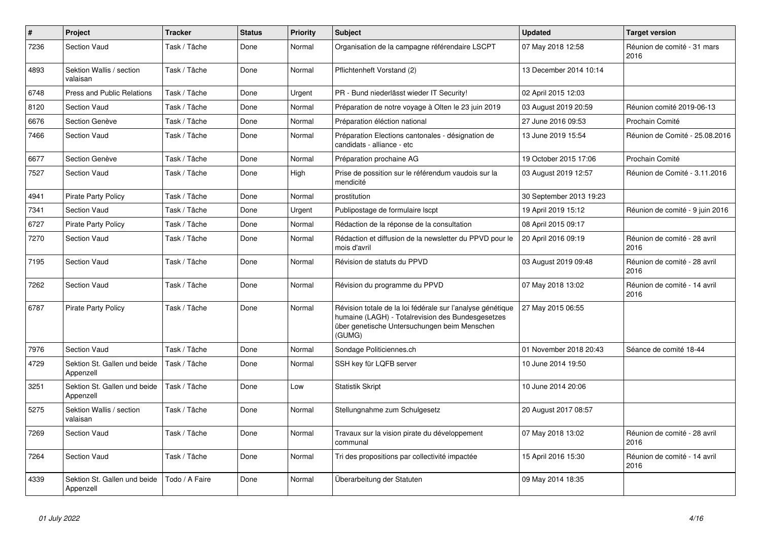| $\pmb{\#}$ | Project                                   | <b>Tracker</b> | <b>Status</b> | <b>Priority</b> | <b>Subject</b>                                                                                                                                                            | <b>Updated</b>          | <b>Target version</b>                |
|------------|-------------------------------------------|----------------|---------------|-----------------|---------------------------------------------------------------------------------------------------------------------------------------------------------------------------|-------------------------|--------------------------------------|
| 7236       | <b>Section Vaud</b>                       | Task / Tâche   | Done          | Normal          | Organisation de la campagne référendaire LSCPT                                                                                                                            | 07 May 2018 12:58       | Réunion de comité - 31 mars<br>2016  |
| 4893       | Sektion Wallis / section<br>valaisan      | Task / Tâche   | Done          | Normal          | Pflichtenheft Vorstand (2)                                                                                                                                                | 13 December 2014 10:14  |                                      |
| 6748       | <b>Press and Public Relations</b>         | Task / Tâche   | Done          | Urgent          | PR - Bund niederlässt wieder IT Security!                                                                                                                                 | 02 April 2015 12:03     |                                      |
| 8120       | <b>Section Vaud</b>                       | Task / Tâche   | Done          | Normal          | Préparation de notre voyage à Olten le 23 juin 2019                                                                                                                       | 03 August 2019 20:59    | Réunion comité 2019-06-13            |
| 6676       | Section Genève                            | Task / Tâche   | Done          | Normal          | Préparation éléction national                                                                                                                                             | 27 June 2016 09:53      | Prochain Comité                      |
| 7466       | <b>Section Vaud</b>                       | Task / Tâche   | Done          | Normal          | Préparation Elections cantonales - désignation de<br>candidats - alliance - etc                                                                                           | 13 June 2019 15:54      | Réunion de Comité - 25.08.2016       |
| 6677       | Section Genève                            | Task / Tâche   | Done          | Normal          | Préparation prochaine AG                                                                                                                                                  | 19 October 2015 17:06   | Prochain Comité                      |
| 7527       | <b>Section Vaud</b>                       | Task / Tâche   | Done          | High            | Prise de possition sur le référendum vaudois sur la<br>mendicité                                                                                                          | 03 August 2019 12:57    | Réunion de Comité - 3.11.2016        |
| 4941       | <b>Pirate Party Policy</b>                | Task / Tâche   | Done          | Normal          | prostitution                                                                                                                                                              | 30 September 2013 19:23 |                                      |
| 7341       | <b>Section Vaud</b>                       | Task / Tâche   | Done          | Urgent          | Publipostage de formulaire Iscpt                                                                                                                                          | 19 April 2019 15:12     | Réunion de comité - 9 juin 2016      |
| 6727       | <b>Pirate Party Policy</b>                | Task / Tâche   | Done          | Normal          | Rédaction de la réponse de la consultation                                                                                                                                | 08 April 2015 09:17     |                                      |
| 7270       | <b>Section Vaud</b>                       | Task / Tâche   | Done          | Normal          | Rédaction et diffusion de la newsletter du PPVD pour le<br>mois d'avril                                                                                                   | 20 April 2016 09:19     | Réunion de comité - 28 avril<br>2016 |
| 7195       | <b>Section Vaud</b>                       | Task / Tâche   | Done          | Normal          | Révision de statuts du PPVD                                                                                                                                               | 03 August 2019 09:48    | Réunion de comité - 28 avril<br>2016 |
| 7262       | <b>Section Vaud</b>                       | Task / Tâche   | Done          | Normal          | Révision du programme du PPVD                                                                                                                                             | 07 May 2018 13:02       | Réunion de comité - 14 avril<br>2016 |
| 6787       | <b>Pirate Party Policy</b>                | Task / Tâche   | Done          | Normal          | Révision totale de la loi fédérale sur l'analyse génétique<br>humaine (LAGH) - Totalrevision des Bundesgesetzes<br>über genetische Untersuchungen beim Menschen<br>(GUMG) | 27 May 2015 06:55       |                                      |
| 7976       | <b>Section Vaud</b>                       | Task / Tâche   | Done          | Normal          | Sondage Politiciennes.ch                                                                                                                                                  | 01 November 2018 20:43  | Séance de comité 18-44               |
| 4729       | Sektion St. Gallen und beide<br>Appenzell | Task / Tâche   | Done          | Normal          | SSH key für LQFB server                                                                                                                                                   | 10 June 2014 19:50      |                                      |
| 3251       | Sektion St. Gallen und beide<br>Appenzell | Task / Tâche   | Done          | Low             | <b>Statistik Skript</b>                                                                                                                                                   | 10 June 2014 20:06      |                                      |
| 5275       | Sektion Wallis / section<br>valaisan      | Task / Tâche   | Done          | Normal          | Stellungnahme zum Schulgesetz                                                                                                                                             | 20 August 2017 08:57    |                                      |
| 7269       | Section Vaud                              | Task / Tâche   | Done          | Normal          | Travaux sur la vision pirate du développement<br>communal                                                                                                                 | 07 May 2018 13:02       | Réunion de comité - 28 avril<br>2016 |
| 7264       | <b>Section Vaud</b>                       | Task / Tâche   | Done          | Normal          | Tri des propositions par collectivité impactée                                                                                                                            | 15 April 2016 15:30     | Réunion de comité - 14 avril<br>2016 |
| 4339       | Sektion St. Gallen und beide<br>Appenzell | Todo / A Faire | Done          | Normal          | Überarbeitung der Statuten                                                                                                                                                | 09 May 2014 18:35       |                                      |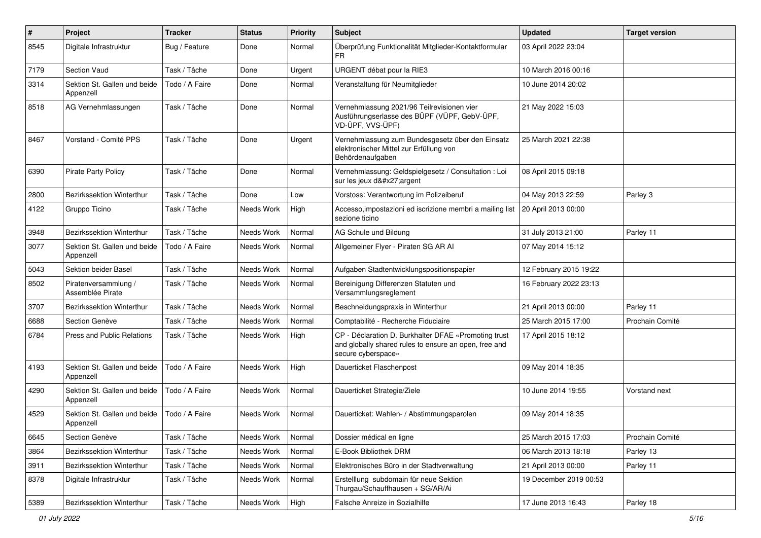| #    | Project                                   | <b>Tracker</b> | <b>Status</b> | <b>Priority</b> | <b>Subject</b>                                                                                                                      | <b>Updated</b>         | <b>Target version</b> |
|------|-------------------------------------------|----------------|---------------|-----------------|-------------------------------------------------------------------------------------------------------------------------------------|------------------------|-----------------------|
| 8545 | Digitale Infrastruktur                    | Bug / Feature  | Done          | Normal          | Überprüfung Funktionalität Mitglieder-Kontaktformular<br>FR.                                                                        | 03 April 2022 23:04    |                       |
| 7179 | Section Vaud                              | Task / Tâche   | Done          | Urgent          | URGENT débat pour la RIE3                                                                                                           | 10 March 2016 00:16    |                       |
| 3314 | Sektion St. Gallen und beide<br>Appenzell | Todo / A Faire | Done          | Normal          | Veranstaltung für Neumitglieder                                                                                                     | 10 June 2014 20:02     |                       |
| 8518 | AG Vernehmlassungen                       | Task / Tâche   | Done          | Normal          | Vernehmlassung 2021/96 Teilrevisionen vier<br>Ausführungserlasse des BÜPF (VÜPF, GebV-ÜPF,<br>VD-ÜPF, VVS-ÜPF)                      | 21 May 2022 15:03      |                       |
| 8467 | Vorstand - Comité PPS                     | Task / Tâche   | Done          | Urgent          | Vernehmlassung zum Bundesgesetz über den Einsatz<br>elektronischer Mittel zur Erfüllung von<br>Behördenaufgaben                     | 25 March 2021 22:38    |                       |
| 6390 | <b>Pirate Party Policy</b>                | Task / Tâche   | Done          | Normal          | Vernehmlassung: Geldspielgesetz / Consultation : Loi<br>sur les jeux d'argent                                                       | 08 April 2015 09:18    |                       |
| 2800 | <b>Bezirkssektion Winterthur</b>          | Task / Tâche   | Done          | Low             | Vorstoss: Verantwortung im Polizeiberuf                                                                                             | 04 May 2013 22:59      | Parley 3              |
| 4122 | Gruppo Ticino                             | Task / Tâche   | Needs Work    | High            | Accesso, impostazioni ed iscrizione membri a mailing list<br>sezione ticino                                                         | 20 April 2013 00:00    |                       |
| 3948 | <b>Bezirkssektion Winterthur</b>          | Task / Tâche   | Needs Work    | Normal          | AG Schule und Bildung                                                                                                               | 31 July 2013 21:00     | Parley 11             |
| 3077 | Sektion St. Gallen und beide<br>Appenzell | Todo / A Faire | Needs Work    | Normal          | Allgemeiner Flyer - Piraten SG AR Al                                                                                                | 07 May 2014 15:12      |                       |
| 5043 | Sektion beider Basel                      | Task / Tâche   | Needs Work    | Normal          | Aufgaben Stadtentwicklungspositionspapier                                                                                           | 12 February 2015 19:22 |                       |
| 8502 | Piratenversammlung /<br>Assemblée Pirate  | Task / Tâche   | Needs Work    | Normal          | Bereinigung Differenzen Statuten und<br>Versammlungsreglement                                                                       | 16 February 2022 23:13 |                       |
| 3707 | Bezirkssektion Winterthur                 | Task / Tâche   | Needs Work    | Normal          | Beschneidungspraxis in Winterthur                                                                                                   | 21 April 2013 00:00    | Parley 11             |
| 6688 | Section Genève                            | Task / Tâche   | Needs Work    | Normal          | Comptabilité - Recherche Fiduciaire                                                                                                 | 25 March 2015 17:00    | Prochain Comité       |
| 6784 | <b>Press and Public Relations</b>         | Task / Tâche   | Needs Work    | High            | CP - Déclaration D. Burkhalter DFAE «Promoting trust<br>and globally shared rules to ensure an open, free and<br>secure cyberspace» | 17 April 2015 18:12    |                       |
| 4193 | Sektion St. Gallen und beide<br>Appenzell | Todo / A Faire | Needs Work    | High            | Dauerticket Flaschenpost                                                                                                            | 09 May 2014 18:35      |                       |
| 4290 | Sektion St. Gallen und beide<br>Appenzell | Todo / A Faire | Needs Work    | Normal          | Dauerticket Strategie/Ziele                                                                                                         | 10 June 2014 19:55     | Vorstand next         |
| 4529 | Sektion St. Gallen und beide<br>Appenzell | Todo / A Faire | Needs Work    | Normal          | Dauerticket: Wahlen- / Abstimmungsparolen                                                                                           | 09 May 2014 18:35      |                       |
| 6645 | Section Genève                            | Task / Tâche   | Needs Work    | Normal          | Dossier médical en ligne                                                                                                            | 25 March 2015 17:03    | Prochain Comité       |
| 3864 | Bezirkssektion Winterthur                 | Task / Tâche   | Needs Work    | Normal          | E-Book Bibliothek DRM                                                                                                               | 06 March 2013 18:18    | Parley 13             |
| 3911 | Bezirkssektion Winterthur                 | Task / Tâche   | Needs Work    | Normal          | Elektronisches Büro in der Stadtverwaltung                                                                                          | 21 April 2013 00:00    | Parley 11             |
| 8378 | Digitale Infrastruktur                    | Task / Tâche   | Needs Work    | Normal          | Erstelllung subdomain für neue Sektion<br>Thurgau/Schauffhausen + SG/AR/Ai                                                          | 19 December 2019 00:53 |                       |
| 5389 | Bezirkssektion Winterthur                 | Task / Tâche   | Needs Work    | High            | Falsche Anreize in Sozialhilfe                                                                                                      | 17 June 2013 16:43     | Parley 18             |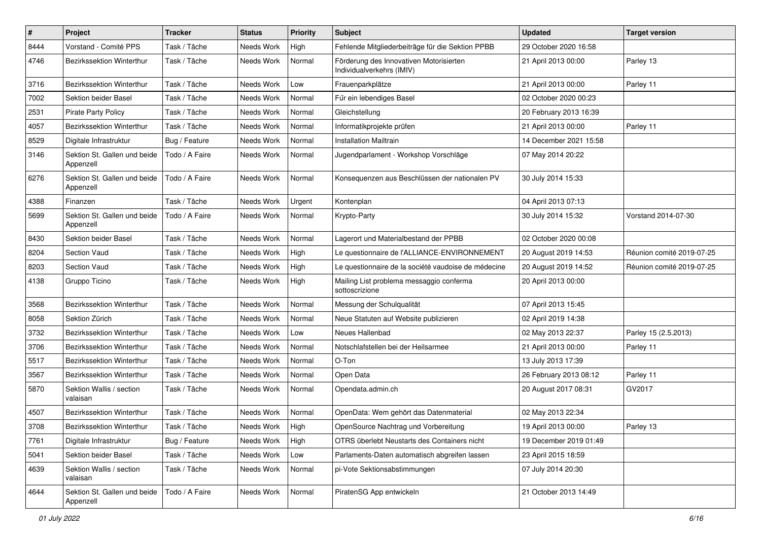| $\#$ | Project                                   | <b>Tracker</b> | <b>Status</b> | <b>Priority</b> | <b>Subject</b>                                                       | <b>Updated</b>         | <b>Target version</b>     |
|------|-------------------------------------------|----------------|---------------|-----------------|----------------------------------------------------------------------|------------------------|---------------------------|
| 8444 | Vorstand - Comité PPS                     | Task / Tâche   | Needs Work    | High            | Fehlende Mitgliederbeiträge für die Sektion PPBB                     | 29 October 2020 16:58  |                           |
| 4746 | Bezirkssektion Winterthur                 | Task / Tâche   | Needs Work    | Normal          | Förderung des Innovativen Motorisierten<br>Individualverkehrs (IMIV) | 21 April 2013 00:00    | Parley 13                 |
| 3716 | <b>Bezirkssektion Winterthur</b>          | Task / Tâche   | Needs Work    | Low             | Frauenparkplätze                                                     | 21 April 2013 00:00    | Parley 11                 |
| 7002 | Sektion beider Basel                      | Task / Tâche   | Needs Work    | Normal          | Für ein lebendiges Basel                                             | 02 October 2020 00:23  |                           |
| 2531 | Pirate Party Policy                       | Task / Tâche   | Needs Work    | Normal          | Gleichstellung                                                       | 20 February 2013 16:39 |                           |
| 4057 | Bezirkssektion Winterthur                 | Task / Tâche   | Needs Work    | Normal          | Informatikprojekte prüfen                                            | 21 April 2013 00:00    | Parley 11                 |
| 8529 | Digitale Infrastruktur                    | Bug / Feature  | Needs Work    | Normal          | <b>Installation Mailtrain</b>                                        | 14 December 2021 15:58 |                           |
| 3146 | Sektion St. Gallen und beide<br>Appenzell | Todo / A Faire | Needs Work    | Normal          | Jugendparlament - Workshop Vorschläge                                | 07 May 2014 20:22      |                           |
| 6276 | Sektion St. Gallen und beide<br>Appenzell | Todo / A Faire | Needs Work    | Normal          | Konsequenzen aus Beschlüssen der nationalen PV                       | 30 July 2014 15:33     |                           |
| 4388 | Finanzen                                  | Task / Tâche   | Needs Work    | Urgent          | Kontenplan                                                           | 04 April 2013 07:13    |                           |
| 5699 | Sektion St. Gallen und beide<br>Appenzell | Todo / A Faire | Needs Work    | Normal          | Krypto-Party                                                         | 30 July 2014 15:32     | Vorstand 2014-07-30       |
| 8430 | Sektion beider Basel                      | Task / Tâche   | Needs Work    | Normal          | Lagerort und Materialbestand der PPBB                                | 02 October 2020 00:08  |                           |
| 8204 | Section Vaud                              | Task / Tâche   | Needs Work    | High            | Le questionnaire de l'ALLIANCE-ENVIRONNEMENT                         | 20 August 2019 14:53   | Réunion comité 2019-07-25 |
| 8203 | <b>Section Vaud</b>                       | Task / Tâche   | Needs Work    | High            | Le questionnaire de la société vaudoise de médecine                  | 20 August 2019 14:52   | Réunion comité 2019-07-25 |
| 4138 | Gruppo Ticino                             | Task / Tâche   | Needs Work    | High            | Mailing List problema messaggio conferma<br>sottoscrizione           | 20 April 2013 00:00    |                           |
| 3568 | Bezirkssektion Winterthur                 | Task / Tâche   | Needs Work    | Normal          | Messung der Schulqualität                                            | 07 April 2013 15:45    |                           |
| 8058 | Sektion Zürich                            | Task / Tâche   | Needs Work    | Normal          | Neue Statuten auf Website publizieren                                | 02 April 2019 14:38    |                           |
| 3732 | Bezirkssektion Winterthur                 | Task / Tâche   | Needs Work    | Low             | Neues Hallenbad                                                      | 02 May 2013 22:37      | Parley 15 (2.5.2013)      |
| 3706 | Bezirkssektion Winterthur                 | Task / Tâche   | Needs Work    | Normal          | Notschlafstellen bei der Heilsarmee                                  | 21 April 2013 00:00    | Parley 11                 |
| 5517 | Bezirkssektion Winterthur                 | Task / Tâche   | Needs Work    | Normal          | O-Ton                                                                | 13 July 2013 17:39     |                           |
| 3567 | Bezirkssektion Winterthur                 | Task / Tâche   | Needs Work    | Normal          | Open Data                                                            | 26 February 2013 08:12 | Parley 11                 |
| 5870 | Sektion Wallis / section<br>valaisan      | Task / Tâche   | Needs Work    | Normal          | Opendata.admin.ch                                                    | 20 August 2017 08:31   | GV2017                    |
| 4507 | Bezirkssektion Winterthur                 | Task / Tâche   | Needs Work    | Normal          | OpenData: Wem gehört das Datenmaterial                               | 02 May 2013 22:34      |                           |
| 3708 | Bezirkssektion Winterthur                 | Task / Tâche   | Needs Work    | High            | OpenSource Nachtrag und Vorbereitung                                 | 19 April 2013 00:00    | Parley 13                 |
| 7761 | Digitale Infrastruktur                    | Bug / Feature  | Needs Work    | High            | OTRS überlebt Neustarts des Containers nicht                         | 19 December 2019 01:49 |                           |
| 5041 | Sektion beider Basel                      | Task / Tâche   | Needs Work    | Low             | Parlaments-Daten automatisch abgreifen lassen                        | 23 April 2015 18:59    |                           |
| 4639 | Sektion Wallis / section<br>valaisan      | Task / Tâche   | Needs Work    | Normal          | pi-Vote Sektionsabstimmungen                                         | 07 July 2014 20:30     |                           |
| 4644 | Sektion St. Gallen und beide<br>Appenzell | Todo / A Faire | Needs Work    | Normal          | PiratenSG App entwickeln                                             | 21 October 2013 14:49  |                           |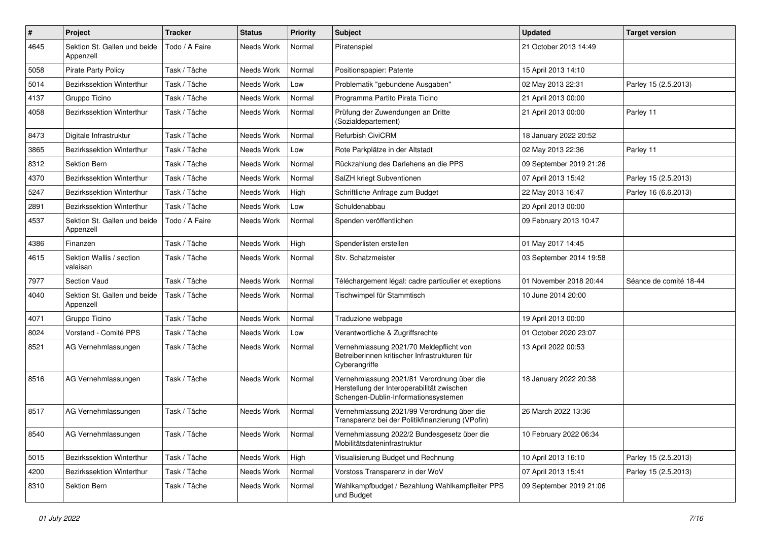| $\pmb{\#}$ | Project                                   | <b>Tracker</b> | <b>Status</b> | <b>Priority</b> | <b>Subject</b>                                                                                                                   | <b>Updated</b>          | <b>Target version</b>  |
|------------|-------------------------------------------|----------------|---------------|-----------------|----------------------------------------------------------------------------------------------------------------------------------|-------------------------|------------------------|
| 4645       | Sektion St. Gallen und beide<br>Appenzell | Todo / A Faire | Needs Work    | Normal          | Piratenspiel                                                                                                                     | 21 October 2013 14:49   |                        |
| 5058       | <b>Pirate Party Policy</b>                | Task / Tâche   | Needs Work    | Normal          | Positionspapier: Patente                                                                                                         | 15 April 2013 14:10     |                        |
| 5014       | Bezirkssektion Winterthur                 | Task / Tâche   | Needs Work    | Low             | Problematik "gebundene Ausgaben"                                                                                                 | 02 May 2013 22:31       | Parley 15 (2.5.2013)   |
| 4137       | Gruppo Ticino                             | Task / Tâche   | Needs Work    | Normal          | Programma Partito Pirata Ticino                                                                                                  | 21 April 2013 00:00     |                        |
| 4058       | Bezirkssektion Winterthur                 | Task / Tâche   | Needs Work    | Normal          | Prüfung der Zuwendungen an Dritte<br>(Sozialdepartement)                                                                         | 21 April 2013 00:00     | Parley 11              |
| 8473       | Digitale Infrastruktur                    | Task / Tâche   | Needs Work    | Normal          | Refurbish CiviCRM                                                                                                                | 18 January 2022 20:52   |                        |
| 3865       | Bezirkssektion Winterthur                 | Task / Tâche   | Needs Work    | Low             | Rote Parkplätze in der Altstadt                                                                                                  | 02 May 2013 22:36       | Parley 11              |
| 8312       | <b>Sektion Bern</b>                       | Task / Tâche   | Needs Work    | Normal          | Rückzahlung des Darlehens an die PPS                                                                                             | 09 September 2019 21:26 |                        |
| 4370       | Bezirkssektion Winterthur                 | Task / Tâche   | Needs Work    | Normal          | SalZH kriegt Subventionen                                                                                                        | 07 April 2013 15:42     | Parley 15 (2.5.2013)   |
| 5247       | Bezirkssektion Winterthur                 | Task / Tâche   | Needs Work    | High            | Schriftliche Anfrage zum Budget                                                                                                  | 22 May 2013 16:47       | Parley 16 (6.6.2013)   |
| 2891       | Bezirkssektion Winterthur                 | Task / Tâche   | Needs Work    | Low             | Schuldenabbau                                                                                                                    | 20 April 2013 00:00     |                        |
| 4537       | Sektion St. Gallen und beide<br>Appenzell | Todo / A Faire | Needs Work    | Normal          | Spenden veröffentlichen                                                                                                          | 09 February 2013 10:47  |                        |
| 4386       | Finanzen                                  | Task / Tâche   | Needs Work    | High            | Spenderlisten erstellen                                                                                                          | 01 May 2017 14:45       |                        |
| 4615       | Sektion Wallis / section<br>valaisan      | Task / Tâche   | Needs Work    | Normal          | Stv. Schatzmeister                                                                                                               | 03 September 2014 19:58 |                        |
| 7977       | Section Vaud                              | Task / Tâche   | Needs Work    | Normal          | Téléchargement légal: cadre particulier et exeptions                                                                             | 01 November 2018 20:44  | Séance de comité 18-44 |
| 4040       | Sektion St. Gallen und beide<br>Appenzell | Task / Tâche   | Needs Work    | Normal          | Tischwimpel für Stammtisch                                                                                                       | 10 June 2014 20:00      |                        |
| 4071       | Gruppo Ticino                             | Task / Tâche   | Needs Work    | Normal          | Traduzione webpage                                                                                                               | 19 April 2013 00:00     |                        |
| 8024       | Vorstand - Comité PPS                     | Task / Tâche   | Needs Work    | Low             | Verantwortliche & Zugriffsrechte                                                                                                 | 01 October 2020 23:07   |                        |
| 8521       | AG Vernehmlassungen                       | Task / Tâche   | Needs Work    | Normal          | Vernehmlassung 2021/70 Meldepflicht von<br>Betreiberinnen kritischer Infrastrukturen für<br>Cyberangriffe                        | 13 April 2022 00:53     |                        |
| 8516       | AG Vernehmlassungen                       | Task / Tâche   | Needs Work    | Normal          | Vernehmlassung 2021/81 Verordnung über die<br>Herstellung der Interoperabilität zwischen<br>Schengen-Dublin-Informationssystemen | 18 January 2022 20:38   |                        |
| 8517       | AG Vernehmlassungen                       | Task / Tâche   | Needs Work    | Normal          | Vernehmlassung 2021/99 Verordnung über die<br>Transparenz bei der Politikfinanzierung (VPofin)                                   | 26 March 2022 13:36     |                        |
| 8540       | AG Vernehmlassungen                       | Task / Tâche   | Needs Work    | Normal          | Vernehmlassung 2022/2 Bundesgesetz über die<br>Mobilitätsdateninfrastruktur                                                      | 10 February 2022 06:34  |                        |
| 5015       | Bezirkssektion Winterthur                 | Task / Tâche   | Needs Work    | High            | Visualisierung Budget und Rechnung                                                                                               | 10 April 2013 16:10     | Parley 15 (2.5.2013)   |
| 4200       | Bezirkssektion Winterthur                 | Task / Tâche   | Needs Work    | Normal          | Vorstoss Transparenz in der WoV                                                                                                  | 07 April 2013 15:41     | Parley 15 (2.5.2013)   |
| 8310       | Sektion Bern                              | Task / Tâche   | Needs Work    | Normal          | Wahlkampfbudget / Bezahlung Wahlkampfleiter PPS<br>und Budget                                                                    | 09 September 2019 21:06 |                        |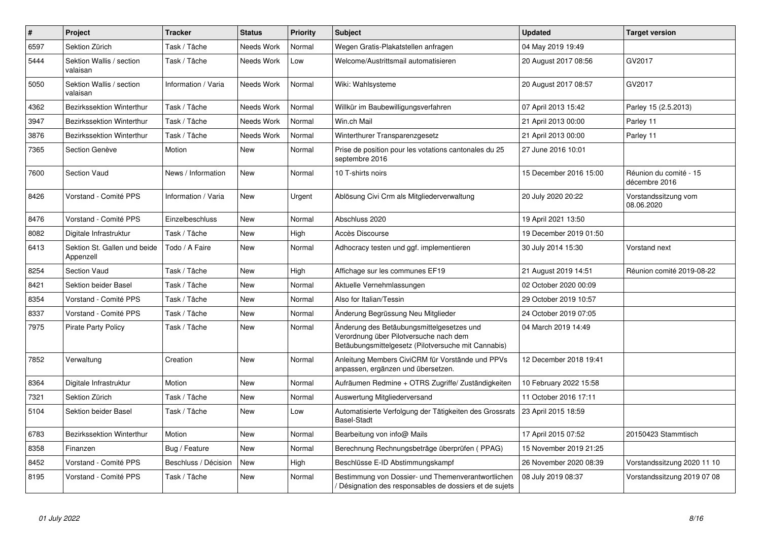| $\sharp$ | Project                                   | <b>Tracker</b>       | <b>Status</b> | <b>Priority</b> | <b>Subject</b>                                                                                                                             | <b>Updated</b>         | <b>Target version</b>                   |
|----------|-------------------------------------------|----------------------|---------------|-----------------|--------------------------------------------------------------------------------------------------------------------------------------------|------------------------|-----------------------------------------|
| 6597     | Sektion Zürich                            | Task / Tâche         | Needs Work    | Normal          | Wegen Gratis-Plakatstellen anfragen                                                                                                        | 04 May 2019 19:49      |                                         |
| 5444     | Sektion Wallis / section<br>valaisan      | Task / Tâche         | Needs Work    | Low             | Welcome/Austrittsmail automatisieren                                                                                                       | 20 August 2017 08:56   | GV2017                                  |
| 5050     | Sektion Wallis / section<br>valaisan      | Information / Varia  | Needs Work    | Normal          | Wiki: Wahlsysteme                                                                                                                          | 20 August 2017 08:57   | GV2017                                  |
| 4362     | Bezirkssektion Winterthur                 | Task / Tâche         | Needs Work    | Normal          | Willkür im Baubewilligungsverfahren                                                                                                        | 07 April 2013 15:42    | Parley 15 (2.5.2013)                    |
| 3947     | Bezirkssektion Winterthur                 | Task / Tâche         | Needs Work    | Normal          | Win.ch Mail                                                                                                                                | 21 April 2013 00:00    | Parley 11                               |
| 3876     | Bezirkssektion Winterthur                 | Task / Tâche         | Needs Work    | Normal          | Winterthurer Transparenzgesetz                                                                                                             | 21 April 2013 00:00    | Parley 11                               |
| 7365     | Section Genève                            | Motion               | <b>New</b>    | Normal          | Prise de position pour les votations cantonales du 25<br>septembre 2016                                                                    | 27 June 2016 10:01     |                                         |
| 7600     | Section Vaud                              | News / Information   | New           | Normal          | 10 T-shirts noirs                                                                                                                          | 15 December 2016 15:00 | Réunion du comité - 15<br>décembre 2016 |
| 8426     | Vorstand - Comité PPS                     | Information / Varia  | New           | Urgent          | Ablösung Civi Crm als Mitgliederverwaltung                                                                                                 | 20 July 2020 20:22     | Vorstandssitzung vom<br>08.06.2020      |
| 8476     | Vorstand - Comité PPS                     | Einzelbeschluss      | <b>New</b>    | Normal          | Abschluss 2020                                                                                                                             | 19 April 2021 13:50    |                                         |
| 8082     | Digitale Infrastruktur                    | Task / Tâche         | <b>New</b>    | High            | Accès Discourse                                                                                                                            | 19 December 2019 01:50 |                                         |
| 6413     | Sektion St. Gallen und beide<br>Appenzell | Todo / A Faire       | New           | Normal          | Adhocracy testen und ggf. implementieren                                                                                                   | 30 July 2014 15:30     | Vorstand next                           |
| 8254     | Section Vaud                              | Task / Tâche         | <b>New</b>    | High            | Affichage sur les communes EF19                                                                                                            | 21 August 2019 14:51   | Réunion comité 2019-08-22               |
| 8421     | Sektion beider Basel                      | Task / Tâche         | <b>New</b>    | Normal          | Aktuelle Vernehmlassungen                                                                                                                  | 02 October 2020 00:09  |                                         |
| 8354     | Vorstand - Comité PPS                     | Task / Tâche         | <b>New</b>    | Normal          | Also for Italian/Tessin                                                                                                                    | 29 October 2019 10:57  |                                         |
| 8337     | Vorstand - Comité PPS                     | Task / Tâche         | <b>New</b>    | Normal          | Änderung Begrüssung Neu Mitglieder                                                                                                         | 24 October 2019 07:05  |                                         |
| 7975     | <b>Pirate Party Policy</b>                | Task / Tâche         | <b>New</b>    | Normal          | Änderung des Betäubungsmittelgesetzes und<br>Verordnung über Pilotversuche nach dem<br>Betäubungsmittelgesetz (Pilotversuche mit Cannabis) | 04 March 2019 14:49    |                                         |
| 7852     | Verwaltung                                | Creation             | New           | Normal          | Anleitung Members CiviCRM für Vorstände und PPVs<br>anpassen, ergänzen und übersetzen.                                                     | 12 December 2018 19:41 |                                         |
| 8364     | Digitale Infrastruktur                    | Motion               | <b>New</b>    | Normal          | Aufräumen Redmine + OTRS Zugriffe/ Zuständigkeiten                                                                                         | 10 February 2022 15:58 |                                         |
| 7321     | Sektion Zürich                            | Task / Tâche         | New           | Normal          | Auswertung Mitgliederversand                                                                                                               | 11 October 2016 17:11  |                                         |
| 5104     | Sektion beider Basel                      | Task / Tâche         | New           | Low             | Automatisierte Verfolgung der Tätigkeiten des Grossrats<br><b>Basel-Stadt</b>                                                              | 23 April 2015 18:59    |                                         |
| 6783     | Bezirkssektion Winterthur                 | Motion               | <b>New</b>    | Normal          | Bearbeitung von info@ Mails                                                                                                                | 17 April 2015 07:52    | 20150423 Stammtisch                     |
| 8358     | Finanzen                                  | Bug / Feature        | <b>New</b>    | Normal          | Berechnung Rechnungsbeträge überprüfen (PPAG)                                                                                              | 15 November 2019 21:25 |                                         |
| 8452     | Vorstand - Comité PPS                     | Beschluss / Décision | <b>New</b>    | High            | Beschlüsse E-ID Abstimmungskampf                                                                                                           | 26 November 2020 08:39 | Vorstandssitzung 2020 11 10             |
| 8195     | Vorstand - Comité PPS                     | Task / Tâche         | <b>New</b>    | Normal          | Bestimmung von Dossier- und Themenverantwortlichen<br>/ Désignation des responsables de dossiers et de sujets                              | 08 July 2019 08:37     | Vorstandssitzung 2019 07 08             |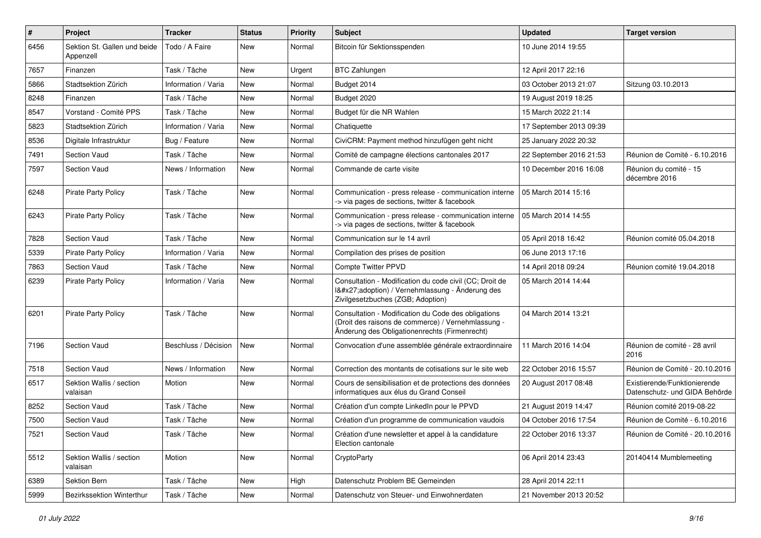| #    | Project                                   | <b>Tracker</b>       | <b>Status</b> | <b>Priority</b> | <b>Subject</b>                                                                                                                                             | <b>Updated</b>          | <b>Target version</b>                                         |
|------|-------------------------------------------|----------------------|---------------|-----------------|------------------------------------------------------------------------------------------------------------------------------------------------------------|-------------------------|---------------------------------------------------------------|
| 6456 | Sektion St. Gallen und beide<br>Appenzell | Todo / A Faire       | <b>New</b>    | Normal          | Bitcoin für Sektionsspenden                                                                                                                                | 10 June 2014 19:55      |                                                               |
| 7657 | Finanzen                                  | Task / Tâche         | <b>New</b>    | Urgent          | <b>BTC Zahlungen</b>                                                                                                                                       | 12 April 2017 22:16     |                                                               |
| 5866 | Stadtsektion Zürich                       | Information / Varia  | New           | Normal          | Budget 2014                                                                                                                                                | 03 October 2013 21:07   | Sitzung 03.10.2013                                            |
| 8248 | Finanzen                                  | Task / Tâche         | <b>New</b>    | Normal          | Budget 2020                                                                                                                                                | 19 August 2019 18:25    |                                                               |
| 8547 | Vorstand - Comité PPS                     | Task / Tâche         | <b>New</b>    | Normal          | Budget für die NR Wahlen                                                                                                                                   | 15 March 2022 21:14     |                                                               |
| 5823 | Stadtsektion Zürich                       | Information / Varia  | New           | Normal          | Chatiquette                                                                                                                                                | 17 September 2013 09:39 |                                                               |
| 8536 | Digitale Infrastruktur                    | Bug / Feature        | New           | Normal          | CiviCRM: Payment method hinzufügen geht nicht                                                                                                              | 25 January 2022 20:32   |                                                               |
| 7491 | Section Vaud                              | Task / Tâche         | New           | Normal          | Comité de campagne élections cantonales 2017                                                                                                               | 22 September 2016 21:53 | Réunion de Comité - 6.10.2016                                 |
| 7597 | <b>Section Vaud</b>                       | News / Information   | New           | Normal          | Commande de carte visite                                                                                                                                   | 10 December 2016 16:08  | Réunion du comité - 15<br>décembre 2016                       |
| 6248 | <b>Pirate Party Policy</b>                | Task / Tâche         | New           | Normal          | Communication - press release - communication interne<br>-> via pages de sections, twitter & facebook                                                      | 05 March 2014 15:16     |                                                               |
| 6243 | <b>Pirate Party Policy</b>                | Task / Tâche         | <b>New</b>    | Normal          | Communication - press release - communication interne<br>-> via pages de sections, twitter & facebook                                                      | 05 March 2014 14:55     |                                                               |
| 7828 | Section Vaud                              | Task / Tâche         | New           | Normal          | Communication sur le 14 avril                                                                                                                              | 05 April 2018 16:42     | Réunion comité 05.04.2018                                     |
| 5339 | <b>Pirate Party Policy</b>                | Information / Varia  | <b>New</b>    | Normal          | Compilation des prises de position                                                                                                                         | 06 June 2013 17:16      |                                                               |
| 7863 | Section Vaud                              | Task / Tâche         | New           | Normal          | <b>Compte Twitter PPVD</b>                                                                                                                                 | 14 April 2018 09:24     | Réunion comité 19.04.2018                                     |
| 6239 | <b>Pirate Party Policy</b>                | Information / Varia  | <b>New</b>    | Normal          | Consultation - Modification du code civil (CC; Droit de<br>I'adoption) / Vernehmlassung - Änderung des<br>Zivilgesetzbuches (ZGB; Adoption)                | 05 March 2014 14:44     |                                                               |
| 6201 | <b>Pirate Party Policy</b>                | Task / Tâche         | New           | Normal          | Consultation - Modification du Code des obligations<br>(Droit des raisons de commerce) / Vernehmlassung -<br>Änderung des Obligationenrechts (Firmenrecht) | 04 March 2014 13:21     |                                                               |
| 7196 | Section Vaud                              | Beschluss / Décision | <b>New</b>    | Normal          | Convocation d'une assemblée générale extraordinnaire                                                                                                       | 11 March 2016 14:04     | Réunion de comité - 28 avril<br>2016                          |
| 7518 | Section Vaud                              | News / Information   | New           | Normal          | Correction des montants de cotisations sur le site web                                                                                                     | 22 October 2016 15:57   | Réunion de Comité - 20.10.2016                                |
| 6517 | Sektion Wallis / section<br>valaisan      | Motion               | New           | Normal          | Cours de sensibilisation et de protections des données<br>informatiques aux élus du Grand Conseil                                                          | 20 August 2017 08:48    | Existierende/Funktionierende<br>Datenschutz- und GIDA Behörde |
| 8252 | Section Vaud                              | Task / Tâche         | <b>New</b>    | Normal          | Création d'un compte LinkedIn pour le PPVD                                                                                                                 | 21 August 2019 14:47    | Réunion comité 2019-08-22                                     |
| 7500 | <b>Section Vaud</b>                       | Task / Tâche         | New           | Normal          | Création d'un programme de communication vaudois                                                                                                           | 04 October 2016 17:54   | Réunion de Comité - 6.10.2016                                 |
| 7521 | <b>Section Vaud</b>                       | Task / Tâche         | New           | Normal          | Création d'une newsletter et appel à la candidature<br>Election cantonale                                                                                  | 22 October 2016 13:37   | Réunion de Comité - 20.10.2016                                |
| 5512 | Sektion Wallis / section<br>valaisan      | Motion               | New           | Normal          | CryptoParty                                                                                                                                                | 06 April 2014 23:43     | 20140414 Mumblemeeting                                        |
| 6389 | Sektion Bern                              | Task / Tâche         | New           | High            | Datenschutz Problem BE Gemeinden                                                                                                                           | 28 April 2014 22:11     |                                                               |
| 5999 | Bezirkssektion Winterthur                 | Task / Tâche         | New           | Normal          | Datenschutz von Steuer- und Einwohnerdaten                                                                                                                 | 21 November 2013 20:52  |                                                               |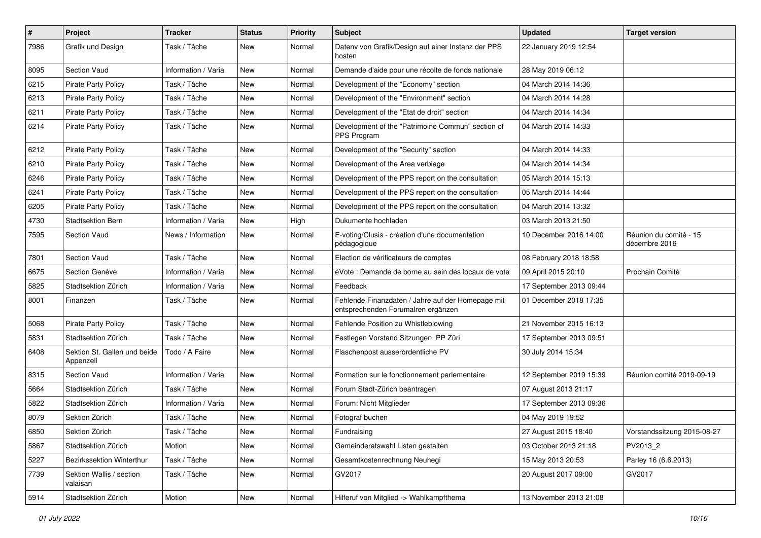| $\pmb{\#}$ | Project                                   | <b>Tracker</b>      | <b>Status</b> | <b>Priority</b> | <b>Subject</b>                                                                          | <b>Updated</b>          | <b>Target version</b>                   |
|------------|-------------------------------------------|---------------------|---------------|-----------------|-----------------------------------------------------------------------------------------|-------------------------|-----------------------------------------|
| 7986       | Grafik und Design                         | Task / Tâche        | New           | Normal          | Datenv von Grafik/Design auf einer Instanz der PPS<br>hosten                            | 22 January 2019 12:54   |                                         |
| 8095       | Section Vaud                              | Information / Varia | New           | Normal          | Demande d'aide pour une récolte de fonds nationale                                      | 28 May 2019 06:12       |                                         |
| 6215       | <b>Pirate Party Policy</b>                | Task / Tâche        | New           | Normal          | Development of the "Economy" section                                                    | 04 March 2014 14:36     |                                         |
| 6213       | <b>Pirate Party Policy</b>                | Task / Tâche        | <b>New</b>    | Normal          | Development of the "Environment" section                                                | 04 March 2014 14:28     |                                         |
| 6211       | <b>Pirate Party Policy</b>                | Task / Tâche        | New           | Normal          | Development of the "Etat de droit" section                                              | 04 March 2014 14:34     |                                         |
| 6214       | Pirate Party Policy                       | Task / Tâche        | New           | Normal          | Development of the "Patrimoine Commun" section of<br>PPS Program                        | 04 March 2014 14:33     |                                         |
| 6212       | <b>Pirate Party Policy</b>                | Task / Tâche        | New           | Normal          | Development of the "Security" section                                                   | 04 March 2014 14:33     |                                         |
| 6210       | Pirate Party Policy                       | Task / Tâche        | New           | Normal          | Development of the Area verbiage                                                        | 04 March 2014 14:34     |                                         |
| 6246       | <b>Pirate Party Policy</b>                | Task / Tâche        | New           | Normal          | Development of the PPS report on the consultation                                       | 05 March 2014 15:13     |                                         |
| 6241       | Pirate Party Policy                       | Task / Tâche        | New           | Normal          | Development of the PPS report on the consultation                                       | 05 March 2014 14:44     |                                         |
| 6205       | <b>Pirate Party Policy</b>                | Task / Tâche        | <b>New</b>    | Normal          | Development of the PPS report on the consultation                                       | 04 March 2014 13:32     |                                         |
| 4730       | Stadtsektion Bern                         | Information / Varia | New           | High            | Dukumente hochladen                                                                     | 03 March 2013 21:50     |                                         |
| 7595       | <b>Section Vaud</b>                       | News / Information  | <b>New</b>    | Normal          | E-voting/Clusis - création d'une documentation<br>pédagogique                           | 10 December 2016 14:00  | Réunion du comité - 15<br>décembre 2016 |
| 7801       | <b>Section Vaud</b>                       | Task / Tâche        | New           | Normal          | Election de vérificateurs de comptes                                                    | 08 February 2018 18:58  |                                         |
| 6675       | Section Genève                            | Information / Varia | New           | Normal          | éVote : Demande de borne au sein des locaux de vote                                     | 09 April 2015 20:10     | Prochain Comité                         |
| 5825       | Stadtsektion Zürich                       | Information / Varia | New           | Normal          | Feedback                                                                                | 17 September 2013 09:44 |                                         |
| 8001       | Finanzen                                  | Task / Tâche        | New           | Normal          | Fehlende Finanzdaten / Jahre auf der Homepage mit<br>entsprechenden Forumalren ergänzen | 01 December 2018 17:35  |                                         |
| 5068       | <b>Pirate Party Policy</b>                | Task / Tâche        | New           | Normal          | Fehlende Position zu Whistleblowing                                                     | 21 November 2015 16:13  |                                         |
| 5831       | Stadtsektion Zürich                       | Task / Tâche        | New           | Normal          | Festlegen Vorstand Sitzungen PP Züri                                                    | 17 September 2013 09:51 |                                         |
| 6408       | Sektion St. Gallen und beide<br>Appenzell | Todo / A Faire      | New           | Normal          | Flaschenpost ausserordentliche PV                                                       | 30 July 2014 15:34      |                                         |
| 8315       | Section Vaud                              | Information / Varia | New           | Normal          | Formation sur le fonctionnement parlementaire                                           | 12 September 2019 15:39 | Réunion comité 2019-09-19               |
| 5664       | Stadtsektion Zürich                       | Task / Tâche        | New           | Normal          | Forum Stadt-Zürich beantragen                                                           | 07 August 2013 21:17    |                                         |
| 5822       | Stadtsektion Zürich                       | Information / Varia | New           | Normal          | Forum: Nicht Mitglieder                                                                 | 17 September 2013 09:36 |                                         |
| 8079       | Sektion Zürich                            | Task / Tâche        | New           | Normal          | Fotograf buchen                                                                         | 04 May 2019 19:52       |                                         |
| 6850       | Sektion Zürich                            | Task / Tâche        | New           | Normal          | Fundraising                                                                             | 27 August 2015 18:40    | Vorstandssitzung 2015-08-27             |
| 5867       | Stadtsektion Zürich                       | Motion              | New           | Normal          | Gemeinderatswahl Listen gestalten                                                       | 03 October 2013 21:18   | PV2013_2                                |
| 5227       | Bezirkssektion Winterthur                 | Task / Tâche        | New           | Normal          | Gesamtkostenrechnung Neuhegi                                                            | 15 May 2013 20:53       | Parley 16 (6.6.2013)                    |
| 7739       | Sektion Wallis / section<br>valaisan      | Task / Tâche        | New           | Normal          | GV2017                                                                                  | 20 August 2017 09:00    | GV2017                                  |
| 5914       | Stadtsektion Zürich                       | Motion              | New           | Normal          | Hilferuf von Mitglied -> Wahlkampfthema                                                 | 13 November 2013 21:08  |                                         |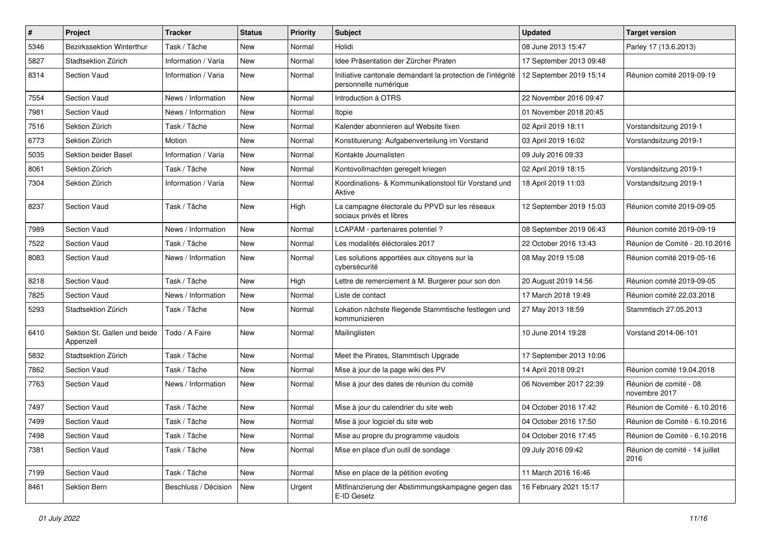| $\#$ | Project                                   | <b>Tracker</b>       | <b>Status</b> | <b>Priority</b> | <b>Subject</b>                                                                       | <b>Updated</b>          | <b>Target version</b>                   |
|------|-------------------------------------------|----------------------|---------------|-----------------|--------------------------------------------------------------------------------------|-------------------------|-----------------------------------------|
| 5346 | Bezirkssektion Winterthur                 | Task / Tâche         | <b>New</b>    | Normal          | Holidi                                                                               | 08 June 2013 15:47      | Parley 17 (13.6.2013)                   |
| 5827 | Stadtsektion Zürich                       | Information / Varia  | <b>New</b>    | Normal          | Idee Präsentation der Zürcher Piraten                                                | 17 September 2013 09:48 |                                         |
| 8314 | Section Vaud                              | Information / Varia  | <b>New</b>    | Normal          | Initiative cantonale demandant la protection de l'intégrité<br>personnelle numérique | 12 September 2019 15:14 | Réunion comité 2019-09-19               |
| 7554 | <b>Section Vaud</b>                       | News / Information   | New           | Normal          | Introduction à OTRS                                                                  | 22 November 2016 09:47  |                                         |
| 7981 | Section Vaud                              | News / Information   | <b>New</b>    | Normal          | Itopie                                                                               | 01 November 2018 20:45  |                                         |
| 7516 | Sektion Zürich                            | Task / Tâche         | <b>New</b>    | Normal          | Kalender abonnieren auf Website fixen                                                | 02 April 2019 18:11     | Vorstandsitzung 2019-1                  |
| 6773 | Sektion Zürich                            | Motion               | <b>New</b>    | Normal          | Konstituierung: Aufgabenverteilung im Vorstand                                       | 03 April 2019 16:02     | Vorstandsitzung 2019-1                  |
| 5035 | <b>Sektion beider Basel</b>               | Information / Varia  | <b>New</b>    | Normal          | Kontakte Journalisten                                                                | 09 July 2016 09:33      |                                         |
| 8061 | Sektion Zürich                            | Task / Tâche         | New           | Normal          | Kontovollmachten geregelt kriegen                                                    | 02 April 2019 18:15     | Vorstandsitzung 2019-1                  |
| 7304 | Sektion Zürich                            | Information / Varia  | <b>New</b>    | Normal          | Koordinations- & Kommunikationstool für Vorstand und<br>Aktive                       | 18 April 2019 11:03     | Vorstandsitzung 2019-1                  |
| 8237 | <b>Section Vaud</b>                       | Task / Tâche         | New           | High            | La campagne électorale du PPVD sur les réseaux<br>sociaux privés et libres           | 12 September 2019 15:03 | Réunion comité 2019-09-05               |
| 7989 | Section Vaud                              | News / Information   | <b>New</b>    | Normal          | LCAPAM - partenaires potentiel?                                                      | 08 September 2019 06:43 | Réunion comité 2019-09-19               |
| 7522 | <b>Section Vaud</b>                       | Task / Tâche         | <b>New</b>    | Normal          | Les modalités éléctorales 2017                                                       | 22 October 2016 13:43   | Réunion de Comité - 20.10.2016          |
| 8083 | <b>Section Vaud</b>                       | News / Information   | <b>New</b>    | Normal          | Les solutions apportées aux citoyens sur la<br>cybersécurité                         | 08 May 2019 15:08       | Réunion comité 2019-05-16               |
| 8218 | Section Vaud                              | Task / Tâche         | <b>New</b>    | High            | Lettre de remerciement à M. Burgerer pour son don                                    | 20 August 2019 14:56    | Réunion comité 2019-09-05               |
| 7825 | Section Vaud                              | News / Information   | <b>New</b>    | Normal          | Liste de contact                                                                     | 17 March 2018 19:49     | Réunion comité 22.03.2018               |
| 5293 | Stadtsektion Zürich                       | Task / Tâche         | New           | Normal          | Lokation nächste fliegende Stammtische festlegen und<br>kommunizieren                | 27 May 2013 18:59       | Stammtisch 27.05.2013                   |
| 6410 | Sektion St. Gallen und beide<br>Appenzell | Todo / A Faire       | <b>New</b>    | Normal          | Mailinglisten                                                                        | 10 June 2014 19:28      | Vorstand 2014-06-101                    |
| 5832 | Stadtsektion Zürich                       | Task / Tâche         | <b>New</b>    | Normal          | Meet the Pirates, Stammtisch Upgrade                                                 | 17 September 2013 10:06 |                                         |
| 7862 | Section Vaud                              | Task / Tâche         | <b>New</b>    | Normal          | Mise à jour de la page wiki des PV                                                   | 14 April 2018 09:21     | Réunion comité 19.04.2018               |
| 7763 | Section Vaud                              | News / Information   | <b>New</b>    | Normal          | Mise à jour des dates de réunion du comité                                           | 06 November 2017 22:39  | Réunion de comité - 08<br>novembre 2017 |
| 7497 | <b>Section Vaud</b>                       | Task / Tâche         | New           | Normal          | Mise à jour du calendrier du site web                                                | 04 October 2016 17:42   | Réunion de Comité - 6.10.2016           |
| 7499 | <b>Section Vaud</b>                       | Task / Tâche         | New           | Normal          | Mise à jour logiciel du site web                                                     | 04 October 2016 17:50   | Réunion de Comité - 6.10.2016           |
| 7498 | Section Vaud                              | Task / Tâche         | New           | Normal          | Mise au propre du programme vaudois                                                  | 04 October 2016 17:45   | Réunion de Comité - 6.10.2016           |
| 7381 | Section Vaud                              | Task / Tâche         | New           | Normal          | Mise en place d'un outil de sondage                                                  | 09 July 2016 09:42      | Réunion de comité - 14 juillet<br>2016  |
| 7199 | Section Vaud                              | Task / Tâche         | New           | Normal          | Mise en place de la pétition evoting                                                 | 11 March 2016 16:46     |                                         |
| 8461 | Sektion Bern                              | Beschluss / Décision | New           | Urgent          | Mitfinanzierung der Abstimmungskampagne gegen das<br>E-ID Gesetz                     | 16 February 2021 15:17  |                                         |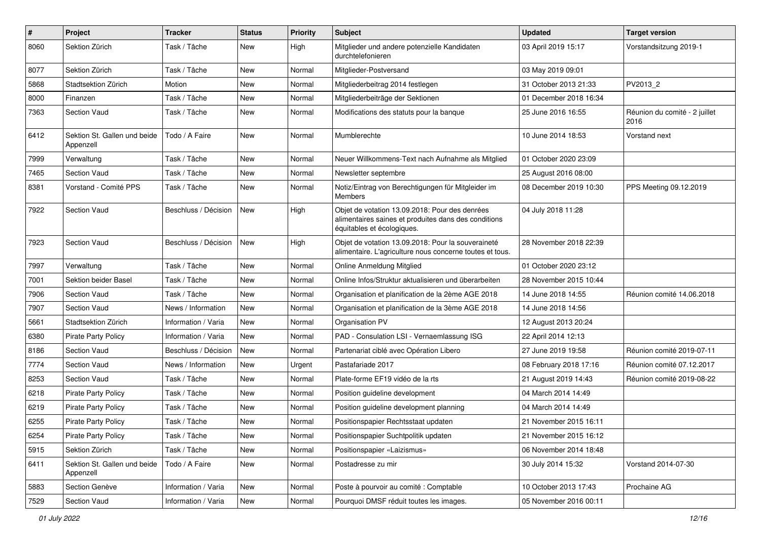| $\pmb{\#}$ | Project                                   | <b>Tracker</b>       | <b>Status</b> | <b>Priority</b> | <b>Subject</b>                                                                                                                       | <b>Updated</b>         | <b>Target version</b>                 |
|------------|-------------------------------------------|----------------------|---------------|-----------------|--------------------------------------------------------------------------------------------------------------------------------------|------------------------|---------------------------------------|
| 8060       | Sektion Zürich                            | Task / Tâche         | New           | High            | Mitglieder und andere potenzielle Kandidaten<br>durchtelefonieren                                                                    | 03 April 2019 15:17    | Vorstandsitzung 2019-1                |
| 8077       | Sektion Zürich                            | Task / Tâche         | New           | Normal          | Mitglieder-Postversand                                                                                                               | 03 May 2019 09:01      |                                       |
| 5868       | Stadtsektion Zürich                       | Motion               | New           | Normal          | Mitgliederbeitrag 2014 festlegen                                                                                                     | 31 October 2013 21:33  | PV2013_2                              |
| 8000       | Finanzen                                  | Task / Tâche         | New           | Normal          | Mitgliederbeiträge der Sektionen                                                                                                     | 01 December 2018 16:34 |                                       |
| 7363       | <b>Section Vaud</b>                       | Task / Tâche         | New           | Normal          | Modifications des statuts pour la banque                                                                                             | 25 June 2016 16:55     | Réunion du comité - 2 juillet<br>2016 |
| 6412       | Sektion St. Gallen und beide<br>Appenzell | Todo / A Faire       | New           | Normal          | Mumblerechte                                                                                                                         | 10 June 2014 18:53     | Vorstand next                         |
| 7999       | Verwaltung                                | Task / Tâche         | New           | Normal          | Neuer Willkommens-Text nach Aufnahme als Mitglied                                                                                    | 01 October 2020 23:09  |                                       |
| 7465       | <b>Section Vaud</b>                       | Task / Tâche         | New           | Normal          | Newsletter septembre                                                                                                                 | 25 August 2016 08:00   |                                       |
| 8381       | Vorstand - Comité PPS                     | Task / Tâche         | New           | Normal          | Notiz/Eintrag von Berechtigungen für Mitgleider im<br><b>Members</b>                                                                 | 08 December 2019 10:30 | PPS Meeting 09.12.2019                |
| 7922       | <b>Section Vaud</b>                       | Beschluss / Décision | New           | High            | Objet de votation 13.09.2018: Pour des denrées<br>alimentaires saines et produites dans des conditions<br>équitables et écologiques. | 04 July 2018 11:28     |                                       |
| 7923       | <b>Section Vaud</b>                       | Beschluss / Décision | New           | High            | Objet de votation 13.09.2018: Pour la souveraineté<br>alimentaire. L'agriculture nous concerne toutes et tous.                       | 28 November 2018 22:39 |                                       |
| 7997       | Verwaltung                                | Task / Tâche         | New           | Normal          | Online Anmeldung Mitglied                                                                                                            | 01 October 2020 23:12  |                                       |
| 7001       | Sektion beider Basel                      | Task / Tâche         | <b>New</b>    | Normal          | Online Infos/Struktur aktualisieren und überarbeiten                                                                                 | 28 November 2015 10:44 |                                       |
| 7906       | <b>Section Vaud</b>                       | Task / Tâche         | <b>New</b>    | Normal          | Organisation et planification de la 2ème AGE 2018                                                                                    | 14 June 2018 14:55     | Réunion comité 14.06.2018             |
| 7907       | <b>Section Vaud</b>                       | News / Information   | New           | Normal          | Organisation et planification de la 3ème AGE 2018                                                                                    | 14 June 2018 14:56     |                                       |
| 5661       | Stadtsektion Zürich                       | Information / Varia  | <b>New</b>    | Normal          | Organisation PV                                                                                                                      | 12 August 2013 20:24   |                                       |
| 6380       | <b>Pirate Party Policy</b>                | Information / Varia  | New           | Normal          | PAD - Consulation LSI - Vernaemlassung ISG                                                                                           | 22 April 2014 12:13    |                                       |
| 8186       | Section Vaud                              | Beschluss / Décision | <b>New</b>    | Normal          | Partenariat ciblé avec Opération Libero                                                                                              | 27 June 2019 19:58     | Réunion comité 2019-07-11             |
| 7774       | <b>Section Vaud</b>                       | News / Information   | <b>New</b>    | Urgent          | Pastafariade 2017                                                                                                                    | 08 February 2018 17:16 | Réunion comité 07.12.2017             |
| 8253       | Section Vaud                              | Task / Tâche         | New           | Normal          | Plate-forme EF19 vidéo de la rts                                                                                                     | 21 August 2019 14:43   | Réunion comité 2019-08-22             |
| 6218       | Pirate Party Policy                       | Task / Tâche         | New           | Normal          | Position guideline development                                                                                                       | 04 March 2014 14:49    |                                       |
| 6219       | <b>Pirate Party Policy</b>                | Task / Tâche         | New           | Normal          | Position guideline development planning                                                                                              | 04 March 2014 14:49    |                                       |
| 6255       | <b>Pirate Party Policy</b>                | Task / Tâche         | New           | Normal          | Positionspapier Rechtsstaat updaten                                                                                                  | 21 November 2015 16:11 |                                       |
| 6254       | <b>Pirate Party Policy</b>                | Task / Tâche         | New           | Normal          | Positionspapier Suchtpolitik updaten                                                                                                 | 21 November 2015 16:12 |                                       |
| 5915       | Sektion Zürich                            | Task / Tâche         | New           | Normal          | Positionspapier «Laizismus»                                                                                                          | 06 November 2014 18:48 |                                       |
| 6411       | Sektion St. Gallen und beide<br>Appenzell | Todo / A Faire       | New           | Normal          | Postadresse zu mir                                                                                                                   | 30 July 2014 15:32     | Vorstand 2014-07-30                   |
| 5883       | Section Genève                            | Information / Varia  | New           | Normal          | Poste à pourvoir au comité : Comptable                                                                                               | 10 October 2013 17:43  | Prochaine AG                          |
| 7529       | Section Vaud                              | Information / Varia  | New           | Normal          | Pourquoi DMSF réduit toutes les images.                                                                                              | 05 November 2016 00:11 |                                       |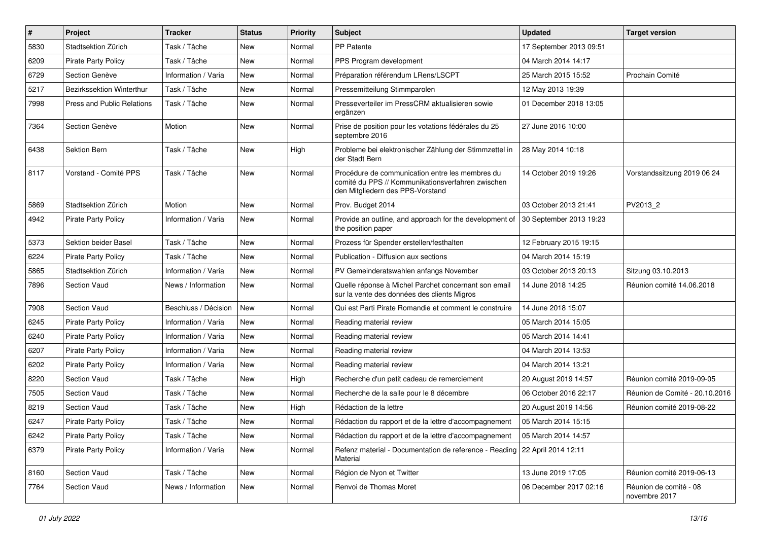| $\vert$ # | Project                    | <b>Tracker</b>       | <b>Status</b> | <b>Priority</b> | <b>Subject</b>                                                                                                                           | <b>Updated</b>          | <b>Target version</b>                   |
|-----------|----------------------------|----------------------|---------------|-----------------|------------------------------------------------------------------------------------------------------------------------------------------|-------------------------|-----------------------------------------|
| 5830      | Stadtsektion Zürich        | Task / Tâche         | <b>New</b>    | Normal          | PP Patente                                                                                                                               | 17 September 2013 09:51 |                                         |
| 6209      | <b>Pirate Party Policy</b> | Task / Tâche         | <b>New</b>    | Normal          | PPS Program development                                                                                                                  | 04 March 2014 14:17     |                                         |
| 6729      | Section Genève             | Information / Varia  | New           | Normal          | Préparation référendum LRens/LSCPT                                                                                                       | 25 March 2015 15:52     | Prochain Comité                         |
| 5217      | Bezirkssektion Winterthur  | Task / Tâche         | <b>New</b>    | Normal          | Pressemitteilung Stimmparolen                                                                                                            | 12 May 2013 19:39       |                                         |
| 7998      | Press and Public Relations | Task / Tâche         | <b>New</b>    | Normal          | Presseverteiler im PressCRM aktualisieren sowie<br>ergänzen                                                                              | 01 December 2018 13:05  |                                         |
| 7364      | Section Genève             | Motion               | <b>New</b>    | Normal          | Prise de position pour les votations fédérales du 25<br>septembre 2016                                                                   | 27 June 2016 10:00      |                                         |
| 6438      | <b>Sektion Bern</b>        | Task / Tâche         | New           | High            | Probleme bei elektronischer Zählung der Stimmzettel in<br>der Stadt Bern                                                                 | 28 May 2014 10:18       |                                         |
| 8117      | Vorstand - Comité PPS      | Task / Tâche         | New           | Normal          | Procédure de communication entre les membres du<br>comité du PPS // Kommunikationsverfahren zwischen<br>den Mitgliedern des PPS-Vorstand | 14 October 2019 19:26   | Vorstandssitzung 2019 06 24             |
| 5869      | Stadtsektion Zürich        | Motion               | New           | Normal          | Prov. Budget 2014                                                                                                                        | 03 October 2013 21:41   | PV2013_2                                |
| 4942      | <b>Pirate Party Policy</b> | Information / Varia  | <b>New</b>    | Normal          | Provide an outline, and approach for the development of<br>the position paper                                                            | 30 September 2013 19:23 |                                         |
| 5373      | Sektion beider Basel       | Task / Tâche         | <b>New</b>    | Normal          | Prozess für Spender erstellen/festhalten                                                                                                 | 12 February 2015 19:15  |                                         |
| 6224      | <b>Pirate Party Policy</b> | Task / Tâche         | <b>New</b>    | Normal          | Publication - Diffusion aux sections                                                                                                     | 04 March 2014 15:19     |                                         |
| 5865      | Stadtsektion Zürich        | Information / Varia  | New           | Normal          | PV Gemeinderatswahlen anfangs November                                                                                                   | 03 October 2013 20:13   | Sitzung 03.10.2013                      |
| 7896      | Section Vaud               | News / Information   | New           | Normal          | Quelle réponse à Michel Parchet concernant son email<br>sur la vente des données des clients Migros                                      | 14 June 2018 14:25      | Réunion comité 14.06.2018               |
| 7908      | Section Vaud               | Beschluss / Décision | New           | Normal          | Qui est Parti Pirate Romandie et comment le construire                                                                                   | 14 June 2018 15:07      |                                         |
| 6245      | <b>Pirate Party Policy</b> | Information / Varia  | <b>New</b>    | Normal          | Reading material review                                                                                                                  | 05 March 2014 15:05     |                                         |
| 6240      | Pirate Party Policy        | Information / Varia  | <b>New</b>    | Normal          | Reading material review                                                                                                                  | 05 March 2014 14:41     |                                         |
| 6207      | <b>Pirate Party Policy</b> | Information / Varia  | New           | Normal          | Reading material review                                                                                                                  | 04 March 2014 13:53     |                                         |
| 6202      | <b>Pirate Party Policy</b> | Information / Varia  | <b>New</b>    | Normal          | Reading material review                                                                                                                  | 04 March 2014 13:21     |                                         |
| 8220      | Section Vaud               | Task / Tâche         | New           | High            | Recherche d'un petit cadeau de remerciement                                                                                              | 20 August 2019 14:57    | Réunion comité 2019-09-05               |
| 7505      | Section Vaud               | Task / Tâche         | <b>New</b>    | Normal          | Recherche de la salle pour le 8 décembre                                                                                                 | 06 October 2016 22:17   | Réunion de Comité - 20.10.2016          |
| 8219      | Section Vaud               | Task / Tâche         | <b>New</b>    | High            | Rédaction de la lettre                                                                                                                   | 20 August 2019 14:56    | Réunion comité 2019-08-22               |
| 6247      | Pirate Party Policy        | Task / Tâche         | <b>New</b>    | Normal          | Rédaction du rapport et de la lettre d'accompagnement                                                                                    | 05 March 2014 15:15     |                                         |
| 6242      | Pirate Party Policy        | Task / Tâche         | New           | Normal          | Rédaction du rapport et de la lettre d'accompagnement                                                                                    | 05 March 2014 14:57     |                                         |
| 6379      | Pirate Party Policy        | Information / Varia  | New           | Normal          | Refenz material - Documentation de reference - Reading   22 April 2014 12:11<br>Material                                                 |                         |                                         |
| 8160      | Section Vaud               | Task / Tâche         | New           | Normal          | Région de Nyon et Twitter                                                                                                                | 13 June 2019 17:05      | Réunion comité 2019-06-13               |
| 7764      | Section Vaud               | News / Information   | New           | Normal          | Renvoi de Thomas Moret                                                                                                                   | 06 December 2017 02:16  | Réunion de comité - 08<br>novembre 2017 |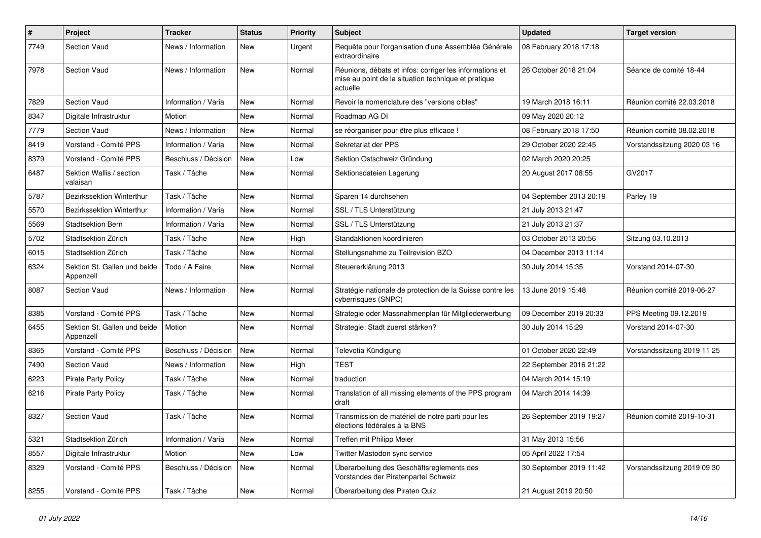| $\#$ | Project                                   | <b>Tracker</b>       | <b>Status</b> | <b>Priority</b> | <b>Subject</b>                                                                                                             | <b>Updated</b>          | <b>Target version</b>       |
|------|-------------------------------------------|----------------------|---------------|-----------------|----------------------------------------------------------------------------------------------------------------------------|-------------------------|-----------------------------|
| 7749 | Section Vaud                              | News / Information   | New           | Urgent          | Requête pour l'organisation d'une Assemblée Générale<br>extraordinaire                                                     | 08 February 2018 17:18  |                             |
| 7978 | Section Vaud                              | News / Information   | New           | Normal          | Réunions, débats et infos: corriger les informations et<br>mise au point de la situation technique et pratique<br>actuelle | 26 October 2018 21:04   | Séance de comité 18-44      |
| 7829 | <b>Section Vaud</b>                       | Information / Varia  | New           | Normal          | Revoir la nomenclature des "versions cibles"                                                                               | 19 March 2018 16:11     | Réunion comité 22.03.2018   |
| 8347 | Digitale Infrastruktur                    | Motion               | New           | Normal          | Roadmap AG DI                                                                                                              | 09 May 2020 20:12       |                             |
| 7779 | <b>Section Vaud</b>                       | News / Information   | <b>New</b>    | Normal          | se réorganiser pour être plus efficace !                                                                                   | 08 February 2018 17:50  | Réunion comité 08.02.2018   |
| 8419 | Vorstand - Comité PPS                     | Information / Varia  | New           | Normal          | Sekretariat der PPS                                                                                                        | 29 October 2020 22:45   | Vorstandssitzung 2020 03 16 |
| 8379 | Vorstand - Comité PPS                     | Beschluss / Décision | New           | Low             | Sektion Ostschweiz Gründung                                                                                                | 02 March 2020 20:25     |                             |
| 6487 | Sektion Wallis / section<br>valaisan      | Task / Tâche         | <b>New</b>    | Normal          | Sektionsdateien Lagerung                                                                                                   | 20 August 2017 08:55    | GV2017                      |
| 5787 | <b>Bezirkssektion Winterthur</b>          | Task / Tâche         | New           | Normal          | Sparen 14 durchsehen                                                                                                       | 04 September 2013 20:19 | Parley 19                   |
| 5570 | Bezirkssektion Winterthur                 | Information / Varia  | New           | Normal          | SSL / TLS Unterstützung                                                                                                    | 21 July 2013 21:47      |                             |
| 5569 | <b>Stadtsektion Bern</b>                  | Information / Varia  | New           | Normal          | SSL / TLS Unterstützung                                                                                                    | 21 July 2013 21:37      |                             |
| 5702 | Stadtsektion Zürich                       | Task / Tâche         | New           | High            | Standaktionen koordinieren                                                                                                 | 03 October 2013 20:56   | Sitzung 03.10.2013          |
| 6015 | Stadtsektion Zürich                       | Task / Tâche         | New           | Normal          | Stellungsnahme zu Teilrevision BZO                                                                                         | 04 December 2013 11:14  |                             |
| 6324 | Sektion St. Gallen und beide<br>Appenzell | Todo / A Faire       | New           | Normal          | Steuererklärung 2013                                                                                                       | 30 July 2014 15:35      | Vorstand 2014-07-30         |
| 8087 | Section Vaud                              | News / Information   | New           | Normal          | Stratégie nationale de protection de la Suisse contre les<br>cyberrisques (SNPC)                                           | 13 June 2019 15:48      | Réunion comité 2019-06-27   |
| 8385 | Vorstand - Comité PPS                     | Task / Tâche         | New           | Normal          | Strategie oder Massnahmenplan für Mitgliederwerbung                                                                        | 09 December 2019 20:33  | PPS Meeting 09.12.2019      |
| 6455 | Sektion St. Gallen und beide<br>Appenzell | Motion               | <b>New</b>    | Normal          | Strategie: Stadt zuerst stärken?                                                                                           | 30 July 2014 15:29      | Vorstand 2014-07-30         |
| 8365 | Vorstand - Comité PPS                     | Beschluss / Décision | <b>New</b>    | Normal          | Televotia Kündigung                                                                                                        | 01 October 2020 22:49   | Vorstandssitzung 2019 11 25 |
| 7490 | Section Vaud                              | News / Information   | New           | High            | <b>TEST</b>                                                                                                                | 22 September 2016 21:22 |                             |
| 6223 | <b>Pirate Party Policy</b>                | Task / Tâche         | New           | Normal          | traduction                                                                                                                 | 04 March 2014 15:19     |                             |
| 6216 | <b>Pirate Party Policy</b>                | Task / Tâche         | New           | Normal          | Translation of all missing elements of the PPS program<br>draft                                                            | 04 March 2014 14:39     |                             |
| 8327 | <b>Section Vaud</b>                       | Task / Tâche         | <b>New</b>    | Normal          | Transmission de matériel de notre parti pour les<br>élections fédérales à la BNS                                           | 26 September 2019 19:27 | Réunion comité 2019-10-31   |
| 5321 | Stadtsektion Zürich                       | Information / Varia  | New           | Normal          | Treffen mit Philipp Meier                                                                                                  | 31 May 2013 15:56       |                             |
| 8557 | Digitale Infrastruktur                    | Motion               | <b>New</b>    | Low             | Twitter Mastodon sync service                                                                                              | 05 April 2022 17:54     |                             |
| 8329 | Vorstand - Comité PPS                     | Beschluss / Décision | New           | Normal          | Überarbeitung des Geschäftsreglements des<br>Vorstandes der Piratenpartei Schweiz                                          | 30 September 2019 11:42 | Vorstandssitzung 2019 09 30 |
| 8255 | Vorstand - Comité PPS                     | Task / Tâche         | New           | Normal          | Überarbeitung des Piraten Quiz                                                                                             | 21 August 2019 20:50    |                             |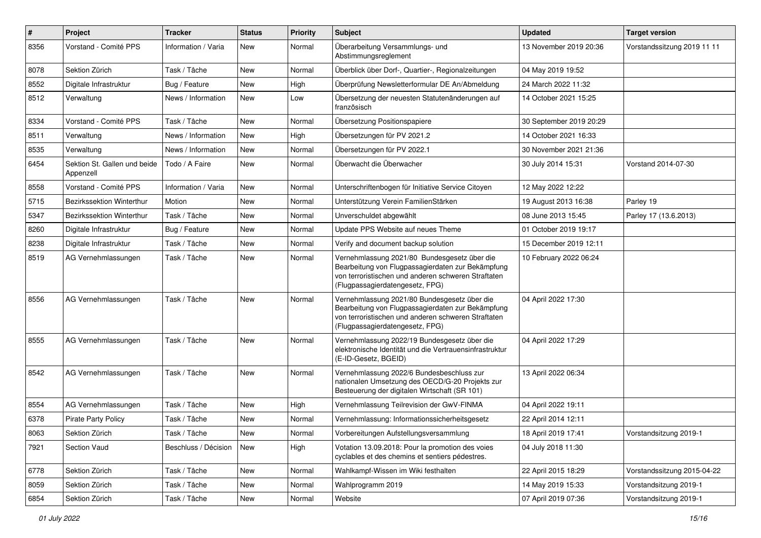| $\sharp$ | Project                                   | <b>Tracker</b>       | <b>Status</b> | <b>Priority</b> | Subject                                                                                                                                                                                     | <b>Updated</b>          | <b>Target version</b>       |
|----------|-------------------------------------------|----------------------|---------------|-----------------|---------------------------------------------------------------------------------------------------------------------------------------------------------------------------------------------|-------------------------|-----------------------------|
| 8356     | Vorstand - Comité PPS                     | Information / Varia  | New           | Normal          | Überarbeitung Versammlungs- und<br>Abstimmungsreglement                                                                                                                                     | 13 November 2019 20:36  | Vorstandssitzung 2019 11 11 |
| 8078     | Sektion Zürich                            | Task / Tâche         | New           | Normal          | Überblick über Dorf-, Quartier-, Regionalzeitungen                                                                                                                                          | 04 May 2019 19:52       |                             |
| 8552     | Digitale Infrastruktur                    | Bug / Feature        | New           | High            | Überprüfung Newsletterformular DE An/Abmeldung                                                                                                                                              | 24 March 2022 11:32     |                             |
| 8512     | Verwaltung                                | News / Information   | <b>New</b>    | Low             | Übersetzung der neuesten Statutenänderungen auf<br>französisch                                                                                                                              | 14 October 2021 15:25   |                             |
| 8334     | Vorstand - Comité PPS                     | Task / Tâche         | New           | Normal          | Übersetzung Positionspapiere                                                                                                                                                                | 30 September 2019 20:29 |                             |
| 8511     | Verwaltung                                | News / Information   | New           | High            | Übersetzungen für PV 2021.2                                                                                                                                                                 | 14 October 2021 16:33   |                             |
| 8535     | Verwaltung                                | News / Information   | <b>New</b>    | Normal          | Übersetzungen für PV 2022.1                                                                                                                                                                 | 30 November 2021 21:36  |                             |
| 6454     | Sektion St. Gallen und beide<br>Appenzell | Todo / A Faire       | <b>New</b>    | Normal          | Überwacht die Überwacher                                                                                                                                                                    | 30 July 2014 15:31      | Vorstand 2014-07-30         |
| 8558     | Vorstand - Comité PPS                     | Information / Varia  | <b>New</b>    | Normal          | Unterschriftenbogen für Initiative Service Citoyen                                                                                                                                          | 12 May 2022 12:22       |                             |
| 5715     | Bezirkssektion Winterthur                 | Motion               | <b>New</b>    | Normal          | Unterstützung Verein FamilienStärken                                                                                                                                                        | 19 August 2013 16:38    | Parley 19                   |
| 5347     | Bezirkssektion Winterthur                 | Task / Tâche         | New           | Normal          | Unverschuldet abgewählt                                                                                                                                                                     | 08 June 2013 15:45      | Parley 17 (13.6.2013)       |
| 8260     | Digitale Infrastruktur                    | Bug / Feature        | New           | Normal          | Update PPS Website auf neues Theme                                                                                                                                                          | 01 October 2019 19:17   |                             |
| 8238     | Digitale Infrastruktur                    | Task / Tâche         | New           | Normal          | Verify and document backup solution                                                                                                                                                         | 15 December 2019 12:11  |                             |
| 8519     | AG Vernehmlassungen                       | Task / Tâche         | New           | Normal          | Vernehmlassung 2021/80 Bundesgesetz über die<br>Bearbeitung von Flugpassagierdaten zur Bekämpfung<br>von terroristischen und anderen schweren Straftaten<br>(Flugpassagierdatengesetz, FPG) | 10 February 2022 06:24  |                             |
| 8556     | AG Vernehmlassungen                       | Task / Tâche         | <b>New</b>    | Normal          | Vernehmlassung 2021/80 Bundesgesetz über die<br>Bearbeitung von Flugpassagierdaten zur Bekämpfung<br>von terroristischen und anderen schweren Straftaten<br>(Flugpassagierdatengesetz, FPG) | 04 April 2022 17:30     |                             |
| 8555     | AG Vernehmlassungen                       | Task / Tâche         | <b>New</b>    | Normal          | Vernehmlassung 2022/19 Bundesgesetz über die<br>elektronische Identität und die Vertrauensinfrastruktur<br>(E-ID-Gesetz, BGEID)                                                             | 04 April 2022 17:29     |                             |
| 8542     | AG Vernehmlassungen                       | Task / Tâche         | <b>New</b>    | Normal          | Vernehmlassung 2022/6 Bundesbeschluss zur<br>nationalen Umsetzung des OECD/G-20 Projekts zur<br>Besteuerung der digitalen Wirtschaft (SR 101)                                               | 13 April 2022 06:34     |                             |
| 8554     | AG Vernehmlassungen                       | Task / Tâche         | <b>New</b>    | High            | Vernehmlassung Teilrevision der GwV-FINMA                                                                                                                                                   | 04 April 2022 19:11     |                             |
| 6378     | <b>Pirate Party Policy</b>                | Task / Tâche         | <b>New</b>    | Normal          | Vernehmlassung: Informationssicherheitsgesetz                                                                                                                                               | 22 April 2014 12:11     |                             |
| 8063     | Sektion Zürich                            | Task / Tâche         | New           | Normal          | Vorbereitungen Aufstellungsversammlung                                                                                                                                                      | 18 April 2019 17:41     | Vorstandsitzung 2019-1      |
| 7921     | Section Vaud                              | Beschluss / Décision | New           | High            | Votation 13.09.2018: Pour la promotion des voies<br>cyclables et des chemins et sentiers pédestres.                                                                                         | 04 July 2018 11:30      |                             |
| 6778     | Sektion Zürich                            | Task / Tâche         | New           | Normal          | Wahlkampf-Wissen im Wiki festhalten                                                                                                                                                         | 22 April 2015 18:29     | Vorstandssitzung 2015-04-22 |
| 8059     | Sektion Zürich                            | Task / Tâche         | New           | Normal          | Wahlprogramm 2019                                                                                                                                                                           | 14 May 2019 15:33       | Vorstandsitzung 2019-1      |
| 6854     | Sektion Zürich                            | Task / Tâche         | New           | Normal          | Website                                                                                                                                                                                     | 07 April 2019 07:36     | Vorstandsitzung 2019-1      |